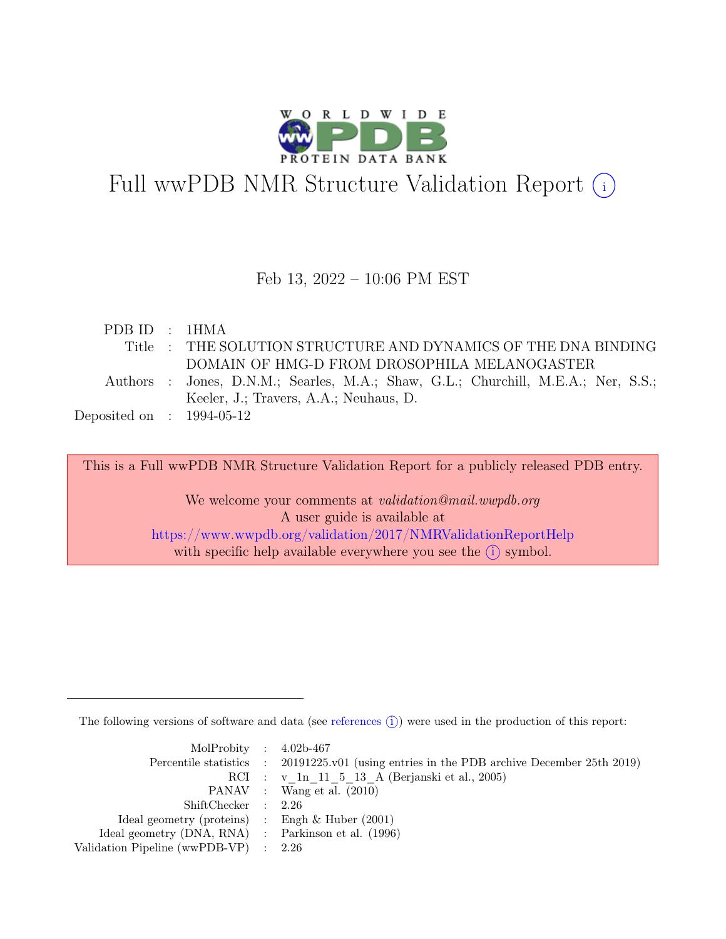

# Full wwPDB NMR Structure Validation Report (i)

### Feb 13, 2022 – 10:06 PM EST

| PDB ID : 1HMA               |                                                                                   |
|-----------------------------|-----------------------------------------------------------------------------------|
|                             | Title : THE SOLUTION STRUCTURE AND DYNAMICS OF THE DNA BINDING                    |
|                             | DOMAIN OF HMG-D FROM DROSOPHILA MELANOGASTER                                      |
|                             | Authors : Jones, D.N.M.; Searles, M.A.; Shaw, G.L.; Churchill, M.E.A.; Ner, S.S.; |
|                             | Keeler, J.; Travers, A.A.; Neuhaus, D.                                            |
| Deposited on : $1994-05-12$ |                                                                                   |

This is a Full wwPDB NMR Structure Validation Report for a publicly released PDB entry.

We welcome your comments at *validation@mail.wwpdb.org* A user guide is available at <https://www.wwpdb.org/validation/2017/NMRValidationReportHelp> with specific help available everywhere you see the  $(i)$  symbol.

The following versions of software and data (see [references](https://www.wwpdb.org/validation/2017/NMRValidationReportHelp#references)  $\hat{I}$ ) were used in the production of this report:

| MolProbity : $4.02b-467$                            |                                                                                            |
|-----------------------------------------------------|--------------------------------------------------------------------------------------------|
|                                                     | Percentile statistics : 20191225.v01 (using entries in the PDB archive December 25th 2019) |
|                                                     | RCI : v 1n 11 5 13 A (Berjanski et al., 2005)                                              |
|                                                     | PANAV : Wang et al. (2010)                                                                 |
| ShiftChecker : 2.26                                 |                                                                                            |
| Ideal geometry (proteins) : Engh $\&$ Huber (2001)  |                                                                                            |
| Ideal geometry (DNA, RNA) : Parkinson et al. (1996) |                                                                                            |
| Validation Pipeline (wwPDB-VP) $\therefore$ 2.26    |                                                                                            |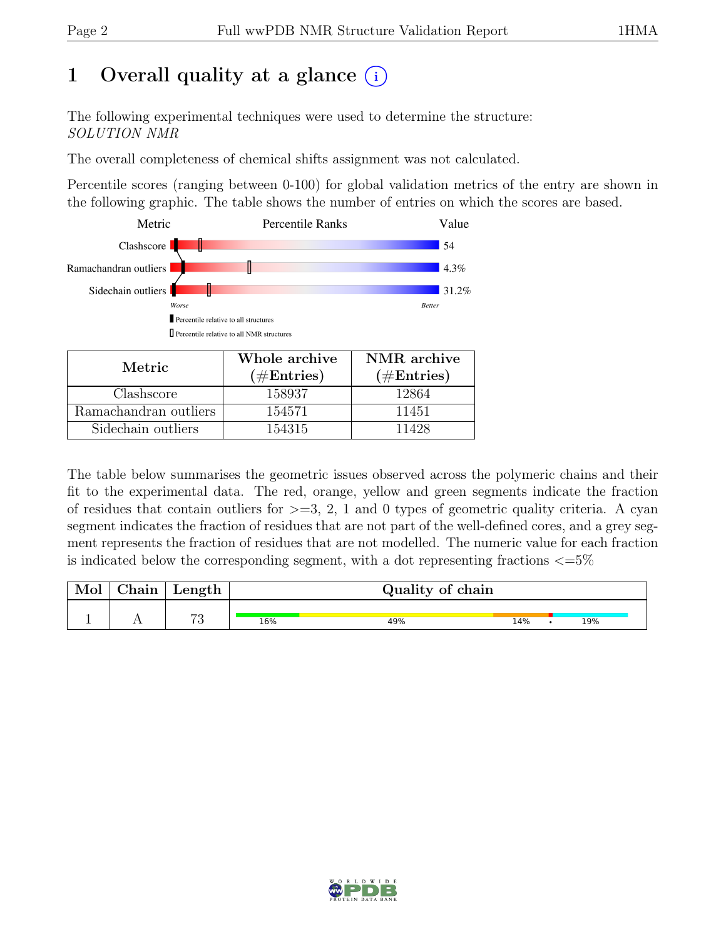# 1 Overall quality at a glance  $(i)$

The following experimental techniques were used to determine the structure: SOLUTION NMR

The overall completeness of chemical shifts assignment was not calculated.

Percentile scores (ranging between 0-100) for global validation metrics of the entry are shown in the following graphic. The table shows the number of entries on which the scores are based.



| Metric.               | Whole archive<br>$(\#Entries)$ | NMR archive<br>$(\#Entries)$ |  |  |
|-----------------------|--------------------------------|------------------------------|--|--|
| Clashscore            | 158937                         | 12864                        |  |  |
| Ramachandran outliers | 154571                         | 11451                        |  |  |
| Sidechain outliers    | 154315                         | 11428                        |  |  |

The table below summarises the geometric issues observed across the polymeric chains and their fit to the experimental data. The red, orange, yellow and green segments indicate the fraction of residues that contain outliers for  $>=$  3, 2, 1 and 0 types of geometric quality criteria. A cyan segment indicates the fraction of residues that are not part of the well-defined cores, and a grey segment represents the fraction of residues that are not modelled. The numeric value for each fraction is indicated below the corresponding segment, with a dot representing fractions  $\langle=5\%$ 

| Mol | ${\rm Chain}$ | Length            |     | Quality of chain |     |  |     |  |  |
|-----|---------------|-------------------|-----|------------------|-----|--|-----|--|--|
|     |               | $H \Omega$<br>। ਦ | 16% | 49%              | 14% |  | 19% |  |  |

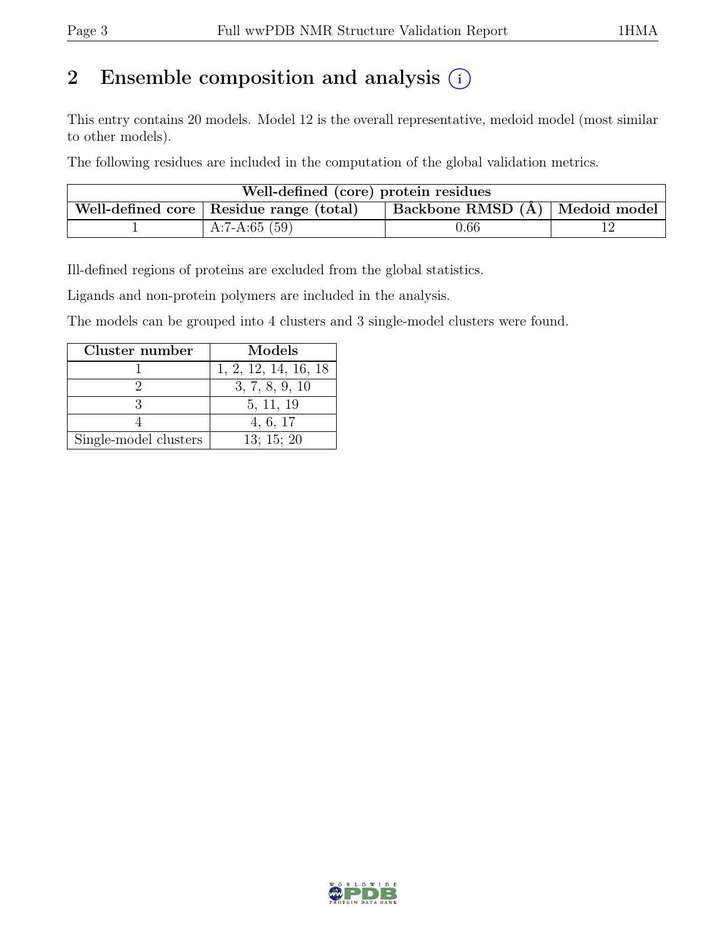# 2 Ensemble composition and analysis  $(i)$

This entry contains 20 models. Model 12 is the overall representative, medoid model (most similar to other models).

The following residues are included in the computation of the global validation metrics.

| Well-defined (core) protein residues                                        |                 |          |  |  |  |  |  |
|-----------------------------------------------------------------------------|-----------------|----------|--|--|--|--|--|
| Backbone RMSD (Å) Medoid model<br>Well-defined core   Residue range (total) |                 |          |  |  |  |  |  |
|                                                                             | A:7-A:65 $(59)$ | $0.66\,$ |  |  |  |  |  |

Ill-defined regions of proteins are excluded from the global statistics.

Ligands and non-protein polymers are included in the analysis.

The models can be grouped into 4 clusters and 3 single-model clusters were found.

| Cluster number        | Models               |
|-----------------------|----------------------|
|                       | 1, 2, 12, 14, 16, 18 |
|                       | 3, 7, 8, 9, 10       |
|                       | 5, 11, 19            |
|                       | 4, 6, 17             |
| Single-model clusters | 13; 15; 20           |

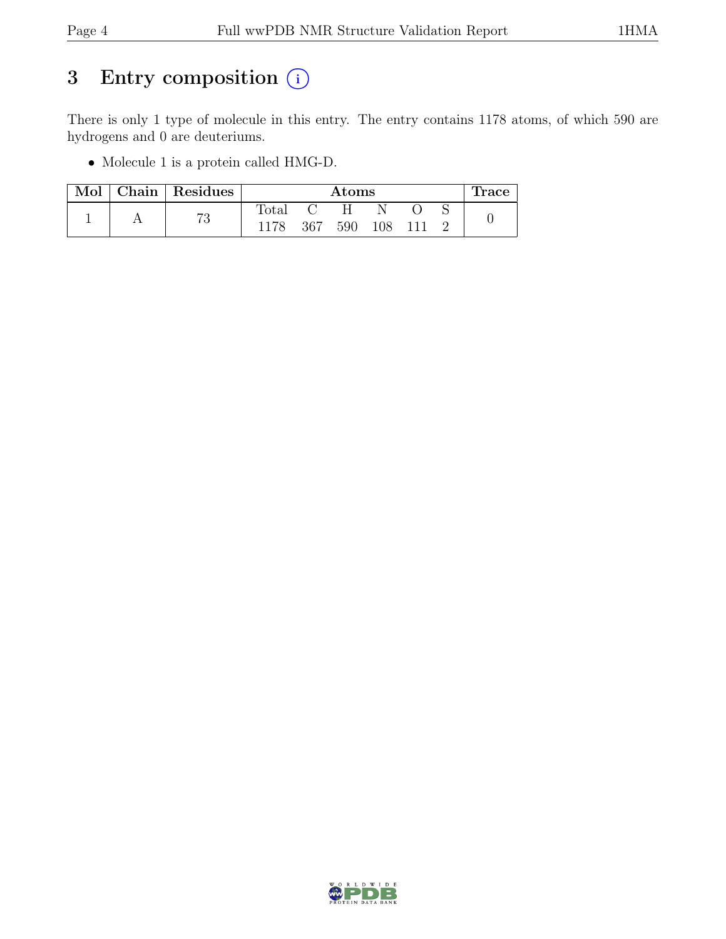# 3 Entry composition  $(i)$

There is only 1 type of molecule in this entry. The entry contains 1178 atoms, of which 590 are hydrogens and 0 are deuteriums.

• Molecule 1 is a protein called HMG-D.

| Mol |    | Chain   Residues |     | Atoms |     |  |  | race |
|-----|----|------------------|-----|-------|-----|--|--|------|
|     | 70 | $_{\rm Total}$   |     |       |     |  |  |      |
|     |    |                  | 367 | 590   | 108 |  |  |      |

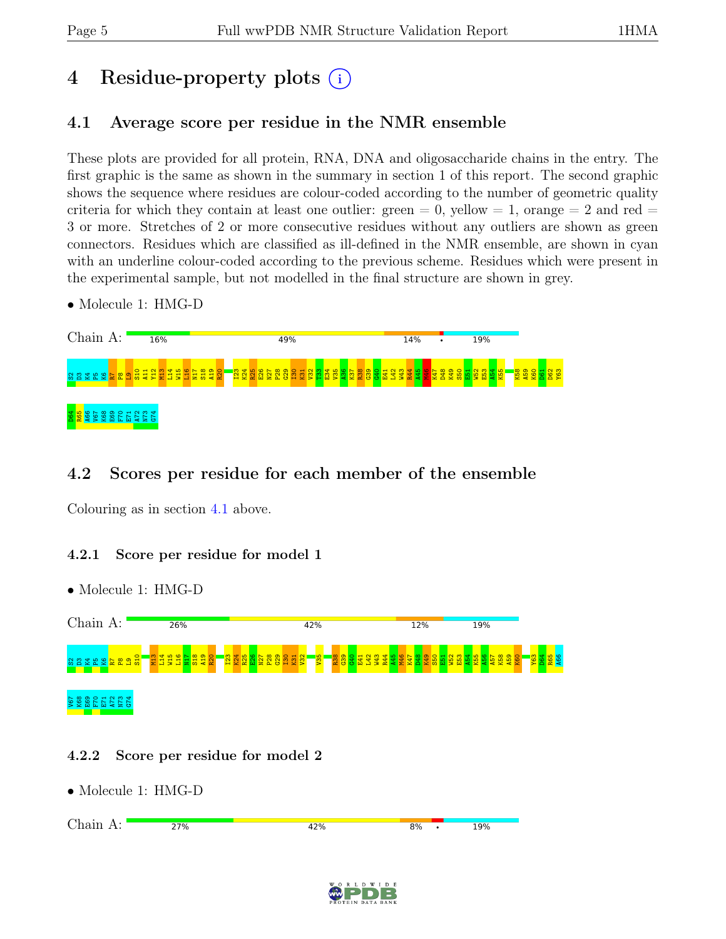# 4 Residue-property plots (i)

## <span id="page-4-0"></span>4.1 Average score per residue in the NMR ensemble

These plots are provided for all protein, RNA, DNA and oligosaccharide chains in the entry. The first graphic is the same as shown in the summary in section 1 of this report. The second graphic shows the sequence where residues are colour-coded according to the number of geometric quality criteria for which they contain at least one outlier:  $green = 0$ ,  $yellow = 1$ ,  $orange = 2$  and  $red =$ 3 or more. Stretches of 2 or more consecutive residues without any outliers are shown as green connectors. Residues which are classified as ill-defined in the NMR ensemble, are shown in cyan with an underline colour-coded according to the previous scheme. Residues which were present in the experimental sample, but not modelled in the final structure are shown in grey.

• Molecule 1: HMG-D



## 4.2 Scores per residue for each member of the ensemble

Colouring as in section [4.1](#page-4-0) above.

### 4.2.1 Score per residue for model 1

• Molecule 1: HMG-D



### 4.2.2 Score per residue for model 2

• Molecule 1: HMG-D

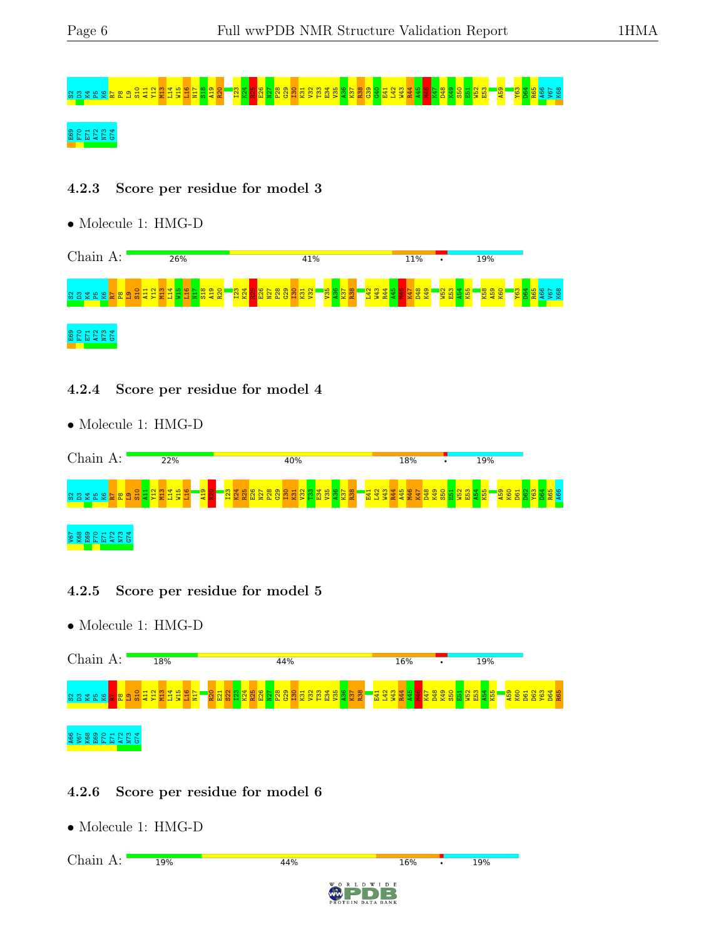# S2D3K4P5K6R7P8L9S10 A11 Y12 M13 L14 W15 L16 N17 S18 A19 R20 I23 K24 R25 E26 N27 P28 G29 I30 K31 V32 T33 E34 V35 A36 K37 R38 G39 G40 E41 L42 W43 R44 A45 M46 K47 D48 K49 S50 E51 W52 E53 A59 Y63 D64 R65 A66 V67 K68

### $25722$ <br> $257222$

### 4.2.3 Score per residue for model 3

• Molecule 1: HMG-D



### 4.2.4 Score per residue for model 4

• Molecule 1: HMG-D



### 4.2.5 Score per residue for model 5

• Molecule 1: HMG-D



### 4.2.6 Score per residue for model 6

• Molecule 1: HMG-D

Chain A:19% 44% 16% 19% D W I D E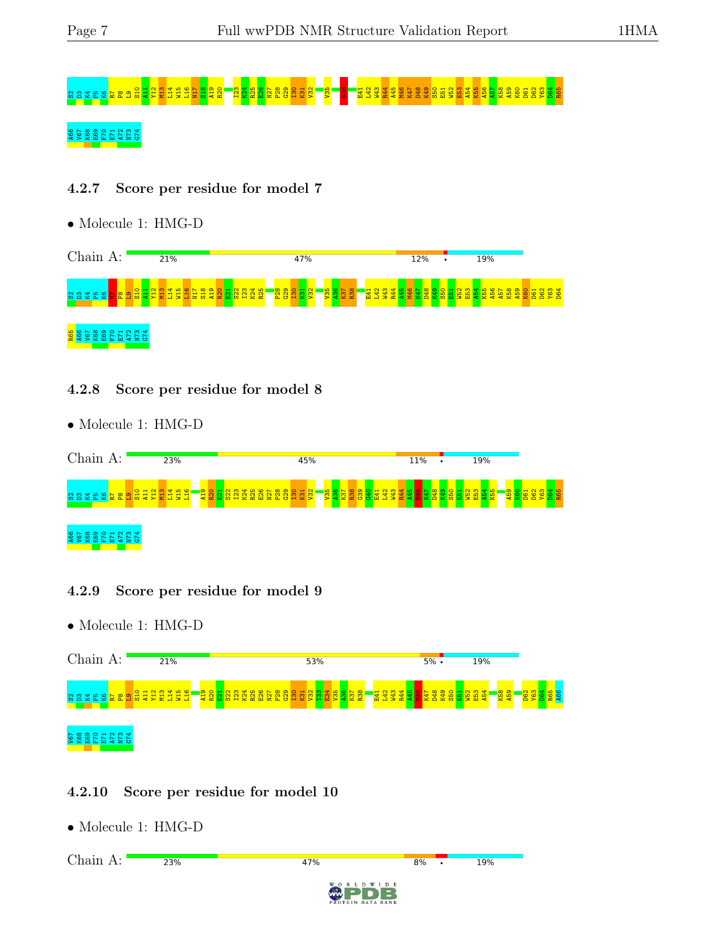# S2D3K4P5K6R7P8L9S10 A11 Y12 M13 L14 W15 L16 N17 S18 A19 R20 I23 K24 R25 E26 N27 P28 G29 I30 K31 V32 V35 R38 E41 L42 W43 R44 A45 M46 K47 D48 K49 S50 E51 W52 E53 A54 K55 A56 A57 K58 A59 K60 D61 D62 Y63 D64 R65 A66<br> **A68 B68 E69 E71 A72 A73 A73 A73 A73 A73 A73 A74 A73 A74 A73 A74 A73 A74 A73 A74 A73 A74 A73 A74 A73 A74 A73 A73**

### 4.2.7 Score per residue for model 7

• Molecule 1: HMG-D



#### 4.2.8 Score per residue for model 8

• Molecule 1: HMG-D



### 4.2.9 Score per residue for model 9

• Molecule 1: HMG-D



### 4.2.10 Score per residue for model 10

• Molecule 1: HMG-D

Chain A:23% 47% 19%  $R%$ D W I D E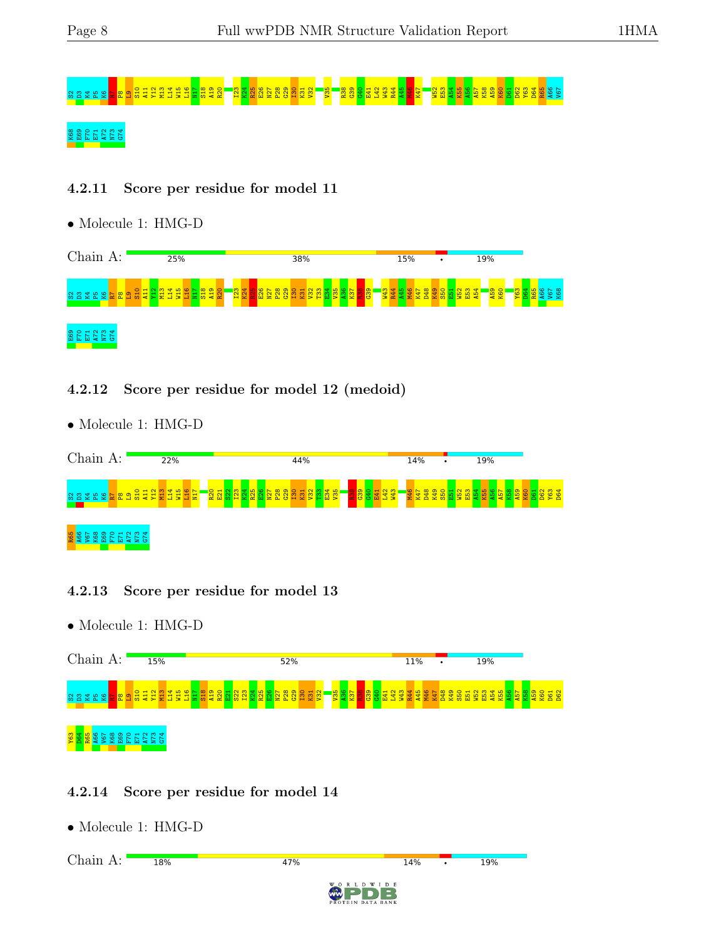# S2 D32 K32 <mark>S2 D32</mark> S2 D32 A11 Y12 M13 L14 W15 L16 N27 P28 E26 N27 P28 G29 E26 N27 P28 G29 E26 N27 P28 G29 E41 L42 H<br>S2 D32 K32 <mark>S2 B3</mark> C4 Q1 Q1 Q1 Q1 Q1 Q1 Q1 Q1 Q1 Q1 Q1 D61 Q1 D61 D61 D61 D62 D61 D62 D64 R65 A56 V67 A66

## K68<br>68 E61 E71 E71<br>68 E61 E71 E72

### 4.2.11 Score per residue for model 11

• Molecule 1: HMG-D



### 4.2.12 Score per residue for model 12 (medoid)

• Molecule 1: HMG-D



### 4.2.13 Score per residue for model 13

• Molecule 1: HMG-D



### 4.2.14 Score per residue for model 14

• Molecule 1: HMG-D

Chain A:18% 47% 14% 19% D W I D E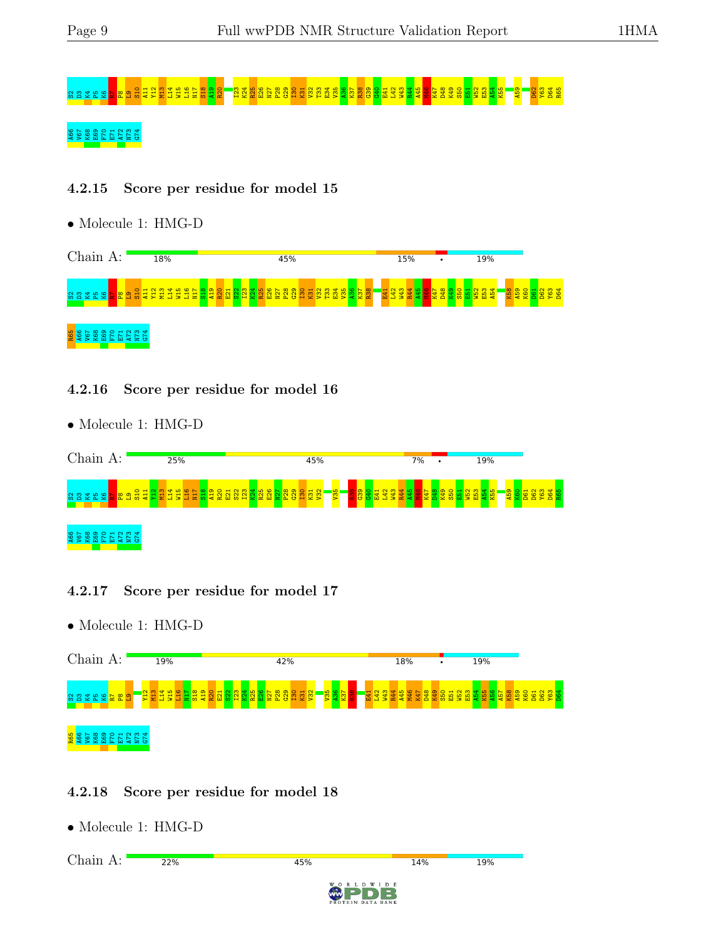# S2D3K4P5K6R7P8L9S10 A11 Y12 M13 L14 W15 L16 N17 S18 A19 R20 I23 K24 R25 E26 N27 P28 G29 I30 K31 V32 T33 E34 V35 A36 K37 R38 G39 G40 E41 L42 W43 R44 A45 M46 K47 D48 K49 S50 E51 W52 E53 A54 K55 A59 D62 Y63 D64 R65

## 22 E69 E69 E69 E69 E69 E71 A72 S99 E72 H

### 4.2.15 Score per residue for model 15

• Molecule 1: HMG-D



#### 4.2.16 Score per residue for model 16

• Molecule 1: HMG-D



### 4.2.17 Score per residue for model 17

• Molecule 1: HMG-D



### 4.2.18 Score per residue for model 18

• Molecule 1: HMG-D

Chain A: $22%$ 45% 14% 19% D W I D E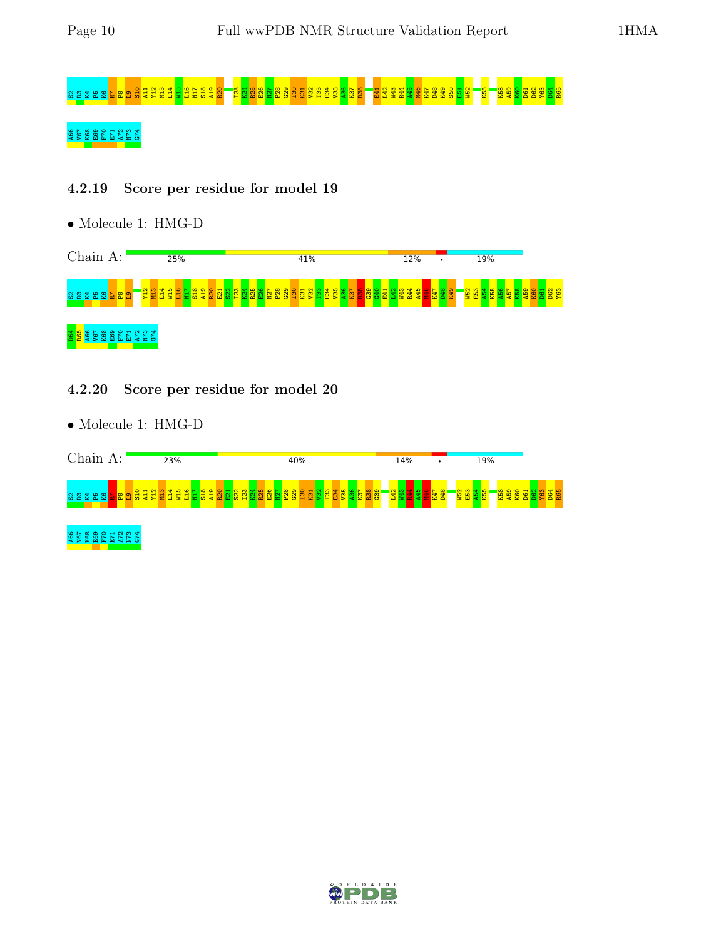# S2D3 A12 P3 L2 M2 A12 K26 R30 A12 K31 R39 A12 R4<br>S21 P28 A19 P28 A36 L32 E36 R38 E41 R38 A36 E41 L42 W44 P81 R4

## A66 V67 K68 E69 F70 E71 A72 N73 G74

### 4.2.19 Score per residue for model 19

• Molecule 1: HMG-D



### 4.2.20 Score per residue for model 20

• Molecule 1: HMG-D



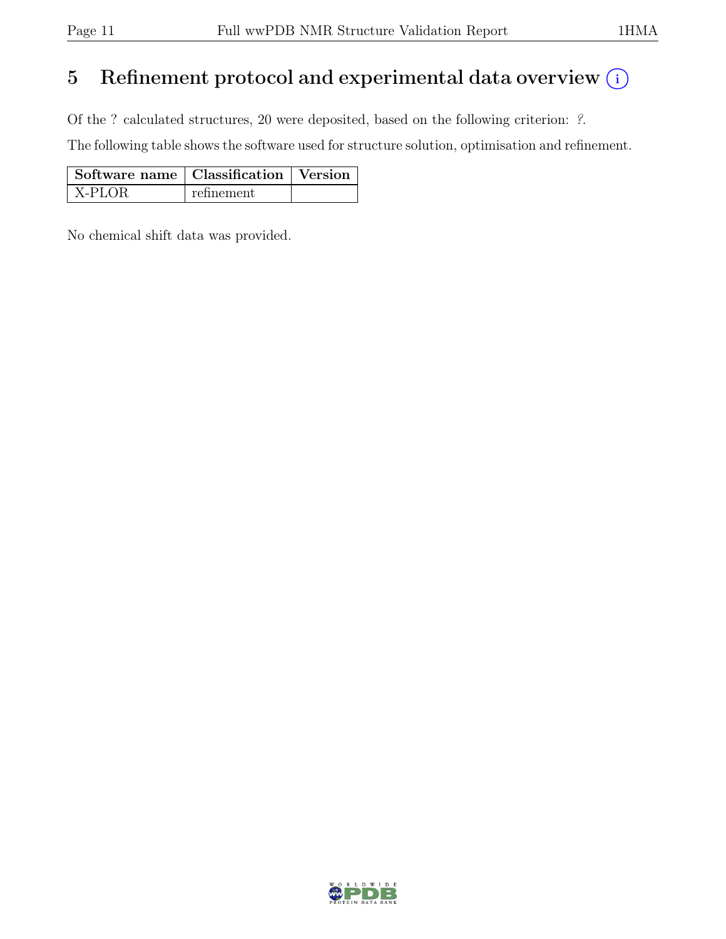# 5 Refinement protocol and experimental data overview  $(i)$

Of the ? calculated structures, 20 were deposited, based on the following criterion: ?.

The following table shows the software used for structure solution, optimisation and refinement.

| Software name   Classification   Version |            |  |
|------------------------------------------|------------|--|
| X-PLOR                                   | refinement |  |

No chemical shift data was provided.

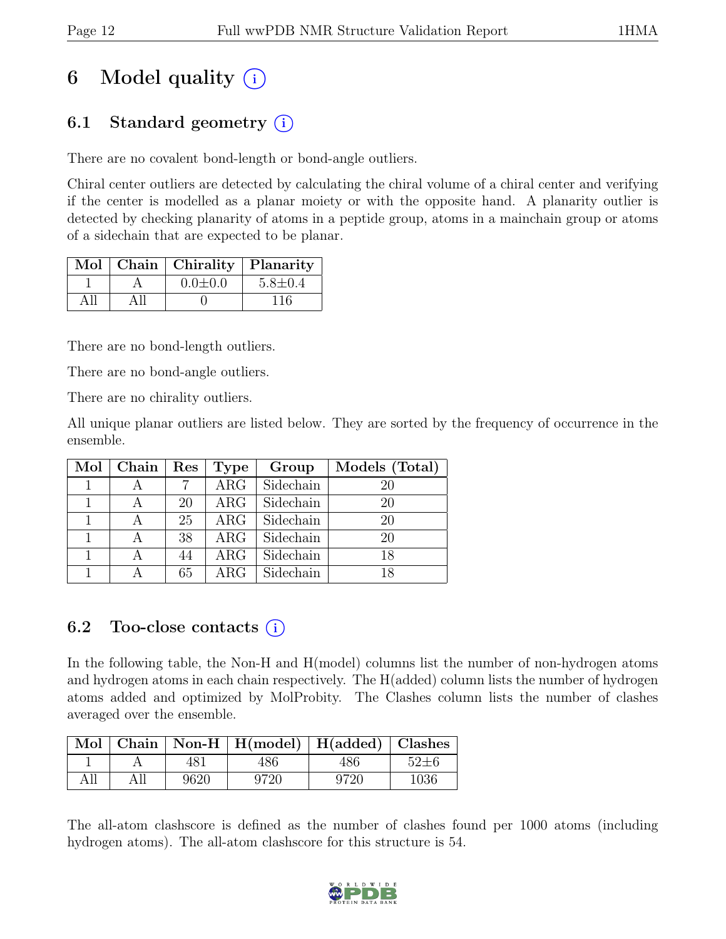# 6 Model quality  $(i)$

## 6.1 Standard geometry  $(i)$

There are no covalent bond-length or bond-angle outliers.

Chiral center outliers are detected by calculating the chiral volume of a chiral center and verifying if the center is modelled as a planar moiety or with the opposite hand. A planarity outlier is detected by checking planarity of atoms in a peptide group, atoms in a mainchain group or atoms of a sidechain that are expected to be planar.

|  | Mol   Chain   Chirality   Planarity |               |
|--|-------------------------------------|---------------|
|  | $0.0 \pm 0.0$                       | $5.8 \pm 0.4$ |
|  |                                     | 116           |

There are no bond-length outliers.

There are no bond-angle outliers.

There are no chirality outliers.

All unique planar outliers are listed below. They are sorted by the frequency of occurrence in the ensemble.

|              | $Mol$   Chain | Res | Type       | Group     | Models (Total) |
|--------------|---------------|-----|------------|-----------|----------------|
|              |               |     | $\rm{ARG}$ | Sidechain | 20             |
|              |               | 20  | $\rm{ARG}$ | Sidechain | 20             |
|              |               | 25  | $\rm{ARG}$ | Sidechain | 20             |
|              |               | 38  | $\rm{ARG}$ | Sidechain | 20             |
| $\mathbf{1}$ |               | 44  | $\rm{ARG}$ | Sidechain | 18             |
|              |               | 65  | $\rm{ARG}$ | Sidechain | 18             |

## 6.2 Too-close contacts  $(i)$

In the following table, the Non-H and H(model) columns list the number of non-hydrogen atoms and hydrogen atoms in each chain respectively. The H(added) column lists the number of hydrogen atoms added and optimized by MolProbity. The Clashes column lists the number of clashes averaged over the ensemble.

|     |     |      | $\boxed{\text{Mol}$ Chain   Non-H   H(model)   H(added)   Clashes |      |            |
|-----|-----|------|-------------------------------------------------------------------|------|------------|
|     |     | 481  | 486                                                               | 486  | $52 \pm 6$ |
| All | All | 9620 | 9720                                                              | 9720 | 1036       |

The all-atom clashscore is defined as the number of clashes found per 1000 atoms (including hydrogen atoms). The all-atom clashscore for this structure is 54.

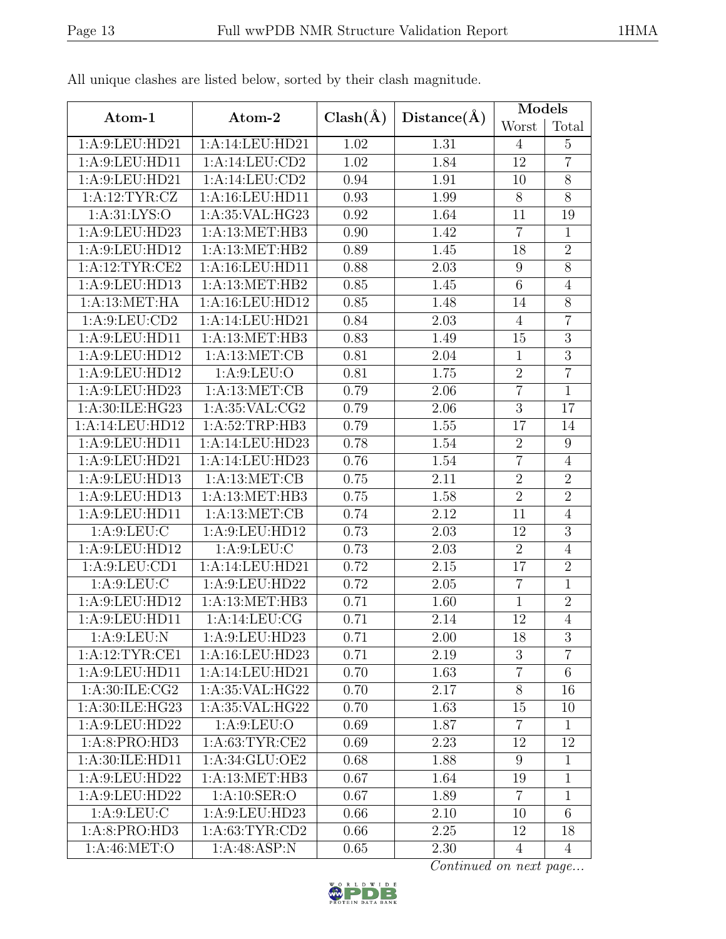|                   |                    |                   |                   | <b>Models</b>  |                |  |
|-------------------|--------------------|-------------------|-------------------|----------------|----------------|--|
| Atom-1            | Atom-2             | $Clash(\AA)$      | Distance(A)       | Worst          | Total          |  |
| 1:A:9:LEU:HD21    | 1:A:14:LEU:HD21    | 1.02              | 1.31              | $\overline{4}$ | $\overline{5}$ |  |
| 1:A:9:LEU:HD11    | 1:A:14:LEU:CD2     | $\overline{1.02}$ | 1.84              | 12             | $\overline{7}$ |  |
| 1:A:9:LEU:HD21    | 1:A:14:LEU:CD2     | 0.94              | 1.91              | 10             | $\overline{8}$ |  |
| 1:A:12:TYR:CZ     | 1:A:16:LEU:HD11    | 0.93              | 1.99              | 8              | 8              |  |
| 1: A: 31: LYS: O  | 1:A:35:VAL:HG23    | 0.92              | 1.64              | 11             | 19             |  |
| 1:A:9:LEU:HD23    | 1:A:13:MET:HB3     | 0.90              | 1.42              | $\overline{7}$ | $\mathbf{1}$   |  |
| 1:A:9:LEU:HD12    | 1:A:13:MET:HB2     | 0.89              | 1.45              | 18             | $\sqrt{2}$     |  |
| 1:A:12:TYR:CE2    | 1:A:16:LEU:HD11    | 0.88              | 2.03              | 9              | $\overline{8}$ |  |
| 1: A:9: LEU: HD13 | 1:A:13:MET:HB2     | 0.85              | 1.45              | 6              | $\overline{4}$ |  |
| 1:A:13:MET:HA     | 1: A:16: LEU: HD12 | 0.85              | 1.48              | 14             | 8              |  |
| 1: A:9: LEU: CD2  | 1:A:14:LEU:HD21    | 0.84              | 2.03              | $\overline{4}$ | $\overline{7}$ |  |
| 1: A:9: LEU: HD11 | 1: A:13:MET:HB3    | 0.83              | 1.49              | 15             | $\overline{3}$ |  |
| 1:A:9:LEU:HD12    | 1: A:13: MET:CB    | 0.81              | 2.04              | $\mathbf{1}$   | 3              |  |
| 1: A:9: LEU: HD12 | 1: A:9: LEU:O      | 0.81              | 1.75              | $\sqrt{2}$     | $\overline{7}$ |  |
| 1:A:9:LEU:HD23    | 1: A: 13: MET: CB  | 0.79              | 2.06              | $\overline{7}$ | $\mathbf{1}$   |  |
| 1:A:30:ILE:HG23   | 1: A:35: VAL:CG2   | 0.79              | 2.06              | $\overline{3}$ | 17             |  |
| 1:A:14:LEU:HD12   | 1:A:52:TRP:HB3     | 0.79              | $\overline{1.55}$ | 17             | 14             |  |
| 1:A:9:LEU:HD11    | 1:A:14:LEU:HD23    | 0.78              | 1.54              | $\overline{2}$ | 9              |  |
| 1:A:9:LEU:HD21    | 1:A:14:LEU:HD23    | 0.76              | 1.54              | $\overline{7}$ | $\overline{4}$ |  |
| 1:A:9:LEU:HD13    | 1:A:13:MET:CB      | 0.75              | 2.11              | $\overline{2}$ | $\overline{2}$ |  |
| 1:A:9:LEU:HD13    | 1:A:13:MET:HB3     | 0.75              | 1.58              | $\overline{2}$ | $\overline{2}$ |  |
| 1:A:9:LEU:HD11    | 1:A:13:MET:CB      | 0.74              | 2.12              | 11             | $\overline{4}$ |  |
| 1: A:9: LEU: C    | 1:A:9:LEU:HD12     | 0.73              | 2.03              | 12             | 3              |  |
| 1:A:9:LEU:HD12    | 1: A:9: LEU: C     | 0.73              | 2.03              | $\overline{2}$ | $\overline{4}$ |  |
| 1: A:9: LEU: CD1  | 1:A:14:LEU:HD21    | 0.72              | 2.15              | 17             | $\overline{2}$ |  |
| 1: A:9:LEU: C     | 1: A:9:LEU:HD22    | 0.72              | 2.05              | $\overline{7}$ | $\mathbf{1}$   |  |
| 1: A:9: LEU: HD12 | 1:A:13:MET:HB3     | 0.71              | 1.60              | 1              | $\overline{2}$ |  |
| 1:A:9:LEU:HD11    | 1: A:14:LEU:CG     | 0.71              | 2.14              | 12             | $\overline{4}$ |  |
| 1: A:9: LEU: N    | 1:A:9:LEU:HD23     | 0.71              | 2.00              | 18             | 3              |  |
| 1:A:12:TYR:CE1    | 1:A:16:LEU:HD23    | 0.71              | 2.19              | $\mathfrak{Z}$ | $\overline{7}$ |  |
| 1: A:9:LEU:HD11   | 1:A:14:LEU:HD21    | 0.70              | 1.63              | $\overline{7}$ | 6              |  |
| 1: A:30: ILE: CG2 | 1:A:35:VAL:HG22    | 0.70              | 2.17              | $8\,$          | 16             |  |
| 1:A:30:ILE:HG23   | 1: A:35: VAL:HG22  | 0.70              | 1.63              | 15             | 10             |  |
| 1:A:9:LEU:HD22    | 1: A:9: LEU:O      | 0.69              | 1.87              | $\overline{7}$ | $\mathbf{1}$   |  |
| 1:A:8:PRO:HD3     | 1: A:63:TYR:CE2    | 0.69              | 2.23              | 12             | 12             |  |
| 1:A:30:ILE:HD11   | 1:A:34:GLU:OE2     | 0.68              | 1.88              | 9              | $\mathbf{1}$   |  |
| 1:A:9:LEU:HD22    | 1:A:13:MET:HB3     | 0.67              | 1.64              | 19             | 1              |  |
| 1:A:9:LEU:HD22    | 1:A:10:SER:O       | 0.67              | 1.89              | $\overline{7}$ | $\mathbf{1}$   |  |
| 1: A:9: LEU: C    | 1:A:9:LEU:HD23     | 0.66              | 2.10              | 10             | 6              |  |
| 1:A:8:PRO:HD3     | 1: A:63:TYR:CD2    | 0.66              | 2.25              | 12             | 18             |  |
| 1: A:46: MET:O    | 1:A:48:ASP:N       | 0.65              | 2.30              | $\overline{4}$ | $\overline{4}$ |  |

All unique clashes are listed below, sorted by their clash magnitude.

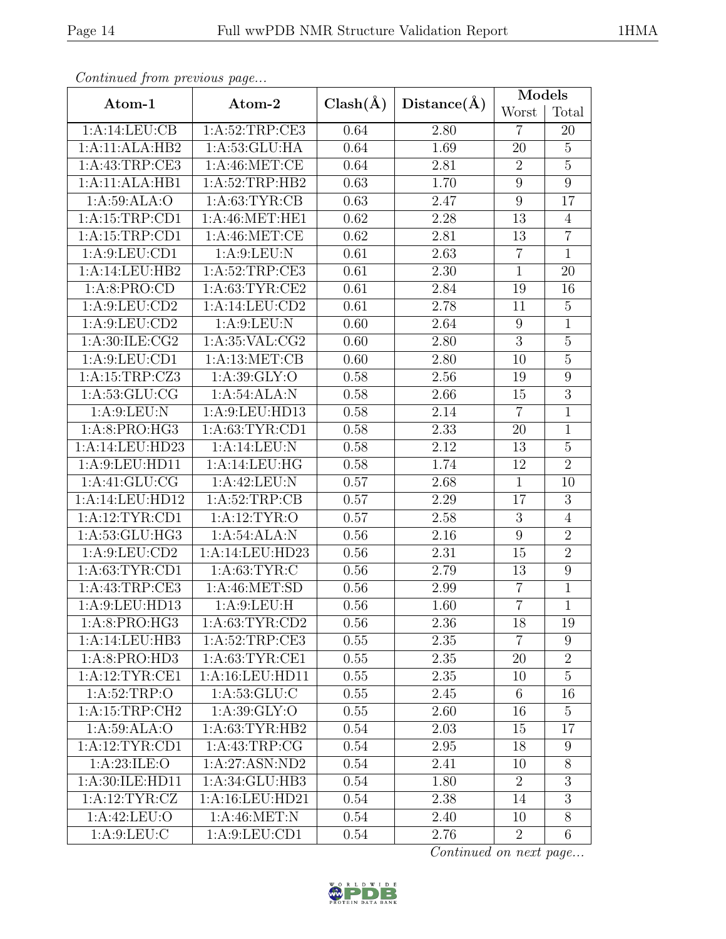| Continued from previous page        |                                             |              |             | Models         |                  |  |
|-------------------------------------|---------------------------------------------|--------------|-------------|----------------|------------------|--|
| Atom-1                              | Atom-2                                      | $Clash(\AA)$ | Distance(A) | Worst          | Total            |  |
| 1:A:14:LEU:CB                       | 1: A:52:TRP:CE3                             | 0.64         | 2.80        | $\overline{7}$ | 20               |  |
| 1:A:11:ALA:HB2                      | 1: A:53: GLU: HA                            |              | 1.69        | 20             | $\overline{5}$   |  |
| 1: A: 43: TRP: CE3                  | 1:A:46:MET:CE                               | 0.64         | 2.81        | $\sqrt{2}$     | $\mathbf 5$      |  |
| 1:A:11:ALA:HB1                      | 1:A:52:TRP:HB2                              | 0.63         | 1.70        | $9\,$          | $\overline{9}$   |  |
| 1:A:59:ALA:O                        | 1: A:63:TYR:CB                              | 0.63         | 2.47        | 9              | 17               |  |
| 1: A:15:TRP:CD1                     | $1: A:46: \overline{\text{MET}:\text{HE1}}$ | 0.62         | 2.28        | 13             | $\overline{4}$   |  |
| 1: A: 15: TRP: CD1                  | 1:A:46:MET:CE                               | 0.62         | 2.81        | 13             | $\overline{7}$   |  |
| 1: A:9: LEU: CD1                    | 1: A:9: LEU: N                              | 0.61         | 2.63        | $\overline{7}$ | $\mathbf{1}$     |  |
| 1:A:14:LEU:HB2                      | 1:A:52:TRP:CE3                              | 0.61         | 2.30        | $\mathbf{1}$   | 20               |  |
| 1: A:8: PRO:CD                      | 1: A:63:TYR:CE2                             | 0.61         | 2.84        | 19             | 16               |  |
| 1: A:9: LEU: CD2                    | 1:A:14:LEU:CD2                              | 0.61         | 2.78        | 11             | $\overline{5}$   |  |
| 1: A:9: LEU: CD2                    | 1: A:9: LEU: N                              | 0.60         | 2.64        | 9              | $\mathbf{1}$     |  |
| 1: A:30: ILE: CG2                   | 1: A:35: VAL:CG2                            | 0.60         | 2.80        | 3              | $\overline{5}$   |  |
| 1: A:9: LEU: CD1                    | 1:A:13:MET:CB                               | 0.60         | 2.80        | 10             | $\overline{5}$   |  |
| 1:A:15:TRP:CZ3                      | 1:A:39:GLY:O                                | 0.58         | 2.56        | 19             | 9                |  |
| 1: A: 53: GLU: CG<br>1:A:54:ALA:N   |                                             | 0.58         | 2.66        | 15             | $\overline{3}$   |  |
| 1: A:9: LEU: N<br>1:A:9:LEU:HD13    |                                             | 0.58         | 2.14        | $\overline{7}$ | $\mathbf{1}$     |  |
| 1:A:63:TYR:CD1<br>1: A:8: PRO:HG3   |                                             | 0.58         | 2.33        | 20             | $\mathbf{1}$     |  |
| 1:A:14:LEU:HD23<br>1:A:14:LEU:N     |                                             | 0.58         | 2.12        | 13             | $\overline{5}$   |  |
| 1:A:9:LEU:HD11<br>1:A:14:LEU:HG     |                                             | 0.58         | 1.74        | 12             | $\overline{2}$   |  |
| 1:A:41:GLU:CG                       | 1:A:42:LEU:N                                | 0.57         | 2.68        | $\overline{1}$ | 10               |  |
| 1:A:14:LEU:HD12                     | 1: A:52:TRP:CB                              | 0.57         | 2.29        | 17             | $\boldsymbol{3}$ |  |
| 1:A:12:TYR:CD1                      | 1: A:12: TYR:O                              | 0.57         | 2.58        | 3              | $\overline{4}$   |  |
| 1:A:53:GLU:HG3                      | 1:A:54:ALA:N                                | 0.56         | 2.16        | 9              | $\overline{2}$   |  |
| 1: A:9: LEU: CD2<br>1:A:14:LEU:HD23 |                                             | 0.56         | 2.31        | 15             | $\overline{2}$   |  |
| 1:A:63:TYR:CD1<br>1: A:63:TYR:C     |                                             | 0.56         | 2.79        | 13             | $\boldsymbol{9}$ |  |
| 1:A:43:TRP:CE3                      | 1: A:46: MET:SD                             | 0.56         | 2.99        | $\overline{7}$ | $\mathbf{1}$     |  |
| 1:A:9:LEU:HD13                      | 1:A:9:LEU:H                                 | 0.56         | 1.60        | $\overline{7}$ | $\overline{1}$   |  |
| 1: A:8: PRO:HG3                     | 1:A:63:TYR:CD2                              | 0.56         | 2.36        | 18             | 19               |  |
| 1:A:14:LEU:HB3                      | 1: A:52:TRP:CE3                             | 0.55         | 2.35        | $\overline{7}$ | 9                |  |
| 1:A:8:PRO:HD3                       | 1: A:63:TYR:CE1                             | 0.55         | 2.35        | 20             | $\overline{2}$   |  |
| 1:A:12:TYR:CE1                      | 1: A:16: LEU: HD11                          | 0.55         | 2.35        | 10             | $\overline{5}$   |  |
| 1: A:52:TRP:O                       | 1: A: 53: GLU: C                            | 0.55         | 2.45        | 6              | 16               |  |
| 1:A:15:TRP:CH2                      | 1: A:39: GLY:O                              | 0.55         | 2.60        | 16             | $\overline{5}$   |  |
| 1:A:59:ALA:O                        | 1: A:63:TYR:HB2                             | 0.54         | 2.03        | 15             | 17               |  |
| 1: A:12:TYR:CD1                     | 1:A:43:TRP:CG                               | 0.54         | 2.95        | 18             | 9                |  |
| 1: A:23: ILE: O                     | 1:A:27:ASN:ND2                              | 0.54         | 2.41        | 10             | 8                |  |
| 1:A:30:ILE:HD11                     | 1:A:34:GLU:HB3                              | 0.54         | 1.80        | $\overline{2}$ | $\overline{3}$   |  |
| 1:A:12:TYR:CZ                       | 1: A: 16: LEU: HD21                         | 0.54         | 2.38        | 14             | $\overline{3}$   |  |
| 1:A:42:LEU:O                        | 1: A:46:MET:N                               | 0.54         | 2.40        | 10             | $\overline{8}$   |  |
| 1: A:9: LEU: C                      | 1:A:9:LEU:CD1                               | 0.54         | 2.76        | $\overline{2}$ | $6\phantom{.}6$  |  |

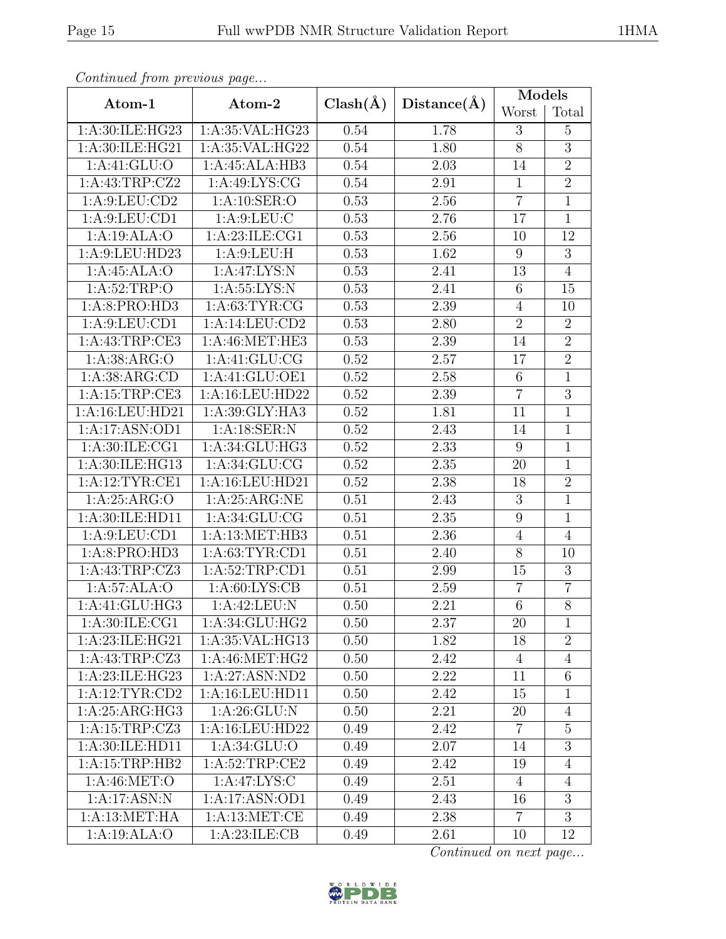| Continuea from previous page        |                    |              |                   | Models         |                |  |
|-------------------------------------|--------------------|--------------|-------------------|----------------|----------------|--|
| Atom-1                              | Atom-2             | $Clash(\AA)$ | Distance(A)       | Worst          | Total          |  |
| 1:A:30:ILE:HG23                     | 1:A:35:VAL:HG23    | 0.54         | 1.78              | 3              | $\overline{5}$ |  |
| 1:A:30:ILE:HG21                     | 1:A:35:VAL:HG22    |              | 1.80              | $8\,$          | $\overline{3}$ |  |
| 1: A:41: GLU:O                      | 1:A:45:ALA:HB3     | 0.54         | 2.03              | 14             | $\overline{2}$ |  |
| 1:A:43:TRP:CZ2                      | 1: A:49: LYS: CG   | 0.54         | 2.91              | $\overline{1}$ | $\overline{2}$ |  |
| 1: A:9: LEU: CD2                    | 1:A:10:SER:O       | 0.53         | 2.56              | $\overline{7}$ | $\mathbf{1}$   |  |
| 1: A:9: LEU: CD1                    | 1: A:9: LEU: C     | 0.53         | 2.76              | 17             | $\mathbf{1}$   |  |
| 1:A:19:ALA:O                        | 1:A:23:ILE:CG1     | 0.53         | 2.56              | 10             | 12             |  |
| 1:A:9:LEU:HD23                      | 1: A:9: LEU:H      | 0.53         | 1.62              | 9              | $\overline{3}$ |  |
| 1:A:45:ALA:O                        | 1:A:47:LYS:N       | 0.53         | 2.41              | 13             | $\overline{4}$ |  |
| 1: A:52:TRP:O                       | 1: A:55: LYS: N    | 0.53         | 2.41              | 6              | 15             |  |
| 1: A:8: PRO:HD3                     | 1: A:63:TYR:CG     | 0.53         | 2.39              | $\overline{4}$ | 10             |  |
| 1: A:9: LEU: CD1                    | 1:A:14:LEU:CD2     | 0.53         | 2.80              | $\overline{2}$ | $\overline{2}$ |  |
| 1: A: 43: TRP: CE3                  | 1: A:46: MET:HE3   | 0.53         | 2.39              | 14             | $\overline{2}$ |  |
| 1: A: 38: ARG: O                    | 1:A:41:GLU:CG      | 0.52         | 2.57              | 17             | $\overline{2}$ |  |
| 1: A: 38: ARG: CD                   | 1:A:41:GLU:OE1     | 0.52         | 2.58              | 6              | $\mathbf{1}$   |  |
| 1:A:16:LEU:HD22<br>1:A:15:TRP:CE3   |                    | 0.52         | 2.39              | $\overline{7}$ | $\overline{3}$ |  |
| 1:A:39:GLY:HA3<br>1:A:16:LEU:HD21   |                    | 0.52         | 1.81              | 11             | $\mathbf{1}$   |  |
| 1:A:17:ASN:OD1<br>1:A:18:SER:N      |                    | 0.52         | 2.43              | 14             | $\overline{1}$ |  |
| 1: A:30: ILE:CG1<br>1:A:34:GLU:HG3  |                    | 0.52         | 2.33              | 9              | $\overline{1}$ |  |
| 1:A:30:ILE:HG13<br>1: A:34: GLU: CG |                    | 0.52         | 2.35              | 20             | $\mathbf{1}$   |  |
| 1:A:12:TYR:CE1                      | 1:A:16:LEU:HD21    | 0.52         | $\overline{2.38}$ | 18             | $\overline{2}$ |  |
| 1: A:25: ARG:O                      | 1: A:25: ARG:NE    | 0.51         | 2.43              | $\mathfrak{Z}$ | $\mathbf{1}$   |  |
| 1: A:30: ILE: HD11                  | 1: A:34: GLU:CG    | 0.51         | 2.35              | $\overline{9}$ | $\overline{1}$ |  |
| 1: A:9: LEU: CD1                    | 1:A:13:MET:HB3     | 0.51         | 2.36              | $\overline{4}$ | $\overline{4}$ |  |
| 1:A:8:PRO:HD3<br>1: A:63:TYR:CD1    |                    | 0.51         | 2.40              | $8\,$          | 10             |  |
| 1:A:43:TRP:CZ3<br>1: A:52:TRP:CD1   |                    | 0.51         | 2.99              | 15             | 3              |  |
| 1:A:57:ALA:O                        | 1: A:60: LYS: CB   | 0.51         | 2.59              | $\overline{7}$ | $\overline{7}$ |  |
| 1:A:41:GLU:HG3                      | 1:A:42:LEU:N       | 0.50         | 2.21              | $\overline{6}$ | $\overline{8}$ |  |
| 1: A:30: ILE: CG1                   | 1:A:34:GLU:HG2     | 0.50         | 2.37              | 20             | $\mathbf{1}$   |  |
| 1:A:23:ILE:HG21                     | 1:A:35:VAL:HG13    | 0.50         | 1.82              | 18             | $\sqrt{2}$     |  |
| 1:A:43:TRP:CZ3                      | 1: A:46: MET:HG2   | 0.50         | 2.42              | $\overline{4}$ | $\overline{4}$ |  |
| 1:A:23:ILE:HG23                     | 1:A:27:ASN:ND2     | 0.50         | 2.22              | 11             | 6              |  |
| 1:A:12:TYR:CD2                      | 1: A:16: LEU: HD11 | 0.50         | 2.42              | 15             | $\mathbf{1}$   |  |
| 1:A:25:ARG:HG3                      | 1: A:26: GLU: N    | 0.50         | 2.21              | 20             | $\overline{4}$ |  |
| 1:A:15:TRP:CZ3                      | 1:A:16:LEU:HD22    | 0.49         | 2.42              | $\overline{7}$ | $\overline{5}$ |  |
| 1:A:30:ILE:HD11                     | 1: A:34: GLU:O     | 0.49         | 2.07              | 14             | 3              |  |
| 1:A:15:TRP:HB2                      | 1: A:52:TRP:CE2    | 0.49         | 2.42              | 19             | $\overline{4}$ |  |
| 1: A:46: MET:O                      | 1:A:47:LYS:C       | 0.49         | 2.51              | $\overline{4}$ | $\overline{4}$ |  |
| 1:A:17:ASN:N                        | 1:A:17:ASN:OD1     | 0.49         | 2.43              | 16             | 3              |  |
| 1: A:13: MET:HA                     | 1:A:13:MET:CE      | 0.49         | 2.38              | $\overline{7}$ | $\overline{3}$ |  |
| 1:A:19:ALA:O                        | 1:A:23:ILE:CB      | 0.49         | 2.61              | 10             | 12             |  |

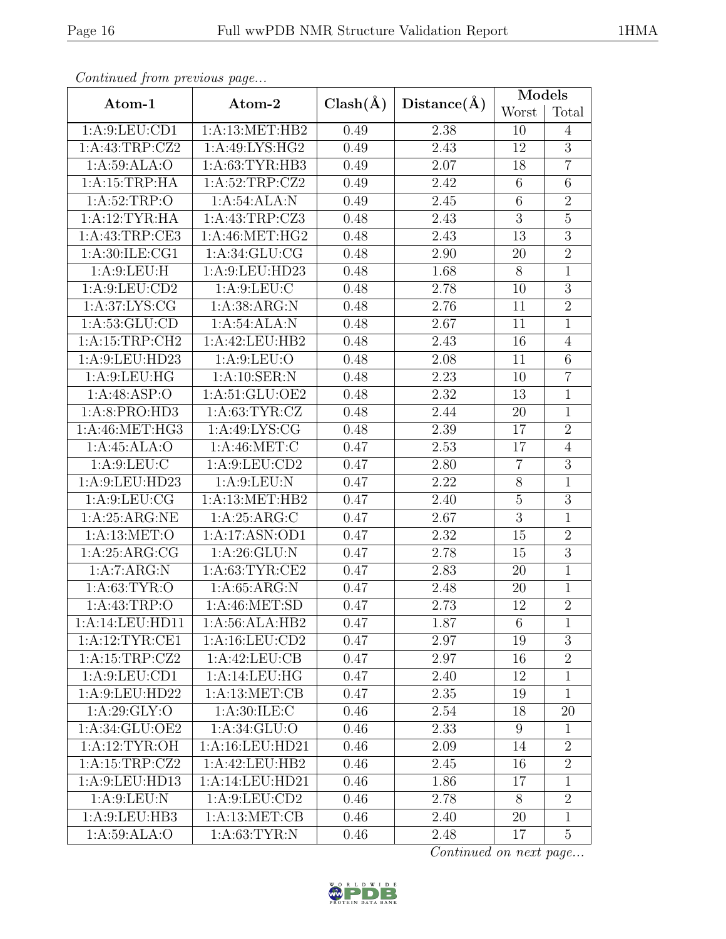|--|

| Continuea from previous page       |                     |              |             | Models          |                |  |
|------------------------------------|---------------------|--------------|-------------|-----------------|----------------|--|
| Atom-1                             | Atom-2              | $Clash(\AA)$ | Distance(A) | Worst           | Total          |  |
| 1: A:9: LEU: CD1                   | 1: A:13:MET:HB2     | 0.49         | 2.38        | 10              | $\overline{4}$ |  |
| 1:A:43:TRP:CZ2                     | 1:A:49:LYS:HG2      |              | 2.43        | 12              | $\overline{3}$ |  |
| 1: A:59: ALA:O                     | 1: A:63:TYR:HB3     | 0.49         | 2.07        | 18              | $\overline{7}$ |  |
| 1:A:15:TRP:HA                      | 1:A:52:TRP:CZ2      | 0.49         | 2.42        | $6\phantom{.}6$ | 6              |  |
| 1: A:52:TRP:O                      | 1:A:54:ALA:N        | 0.49         | 2.45        | $6\phantom{.}6$ | $\overline{2}$ |  |
| 1:A:12:TYR:HA                      | 1: A: 43: TRP: CZ3  | 0.48         | 2.43        | $\overline{3}$  | $\overline{5}$ |  |
| 1: A: 43: TRP: CE3                 | 1: A:46: MET:HG2    | 0.48         | 2.43        | 13              | $\overline{3}$ |  |
| 1: A:30: ILE: CG1                  | 1: A:34: GLU: CG    | 0.48         | 2.90        | 20              | $\overline{2}$ |  |
| 1: A:9: LEU: H                     | 1:A:9:LEU:HD23      | 0.48         | 1.68        | $8\,$           | $\mathbf{1}$   |  |
| 1: A:9: LEU: CD2                   | 1: A:9: LEU: C      | 0.48         | 2.78        | 10              | $\overline{3}$ |  |
| 1: A:37: LYS: CG                   | 1: A: 38: ARG: N    | 0.48         | 2.76        | 11              | $\overline{2}$ |  |
| 1: A: 53: GLU: CD                  | 1:A:54:ALA:N        | 0.48         | 2.67        | 11              | $\mathbf{1}$   |  |
| 1:A:15:TRP:CH2                     | 1:A:42:LEU:HB2      | 0.48         | 2.43        | 16              | $\overline{4}$ |  |
| 1:A:9:LEU:HD23                     | 1: A:9: LEU:O       | 0.48         | 2.08        | 11              | $6\,$          |  |
| 1: A:9: LEU: HG                    | 1: A:10: SER: N     | 0.48         | 2.23        | 10              | $\overline{7}$ |  |
| 1:A:48:ASP:O                       | 1: A:51:GLU:OE2     |              | 2.32        | 13              | $\overline{1}$ |  |
| 1: A:63:TYR:CZ<br>1: A:8: PRO:HD3  |                     | 0.48         | 2.44        | 20              | $\mathbf{1}$   |  |
| 1:A:46:MET:HG3<br>1:A:49:LYS:CG    |                     | 0.48         | 2.39        | 17              | $\overline{2}$ |  |
| 1:A:45:ALA:O<br>1: A:46:MET:C      |                     | 0.47         | 2.53        | 17              | $\overline{4}$ |  |
| 1: A:9: LEU: C<br>1: A:9: LEU: CD2 |                     | 0.47         | 2.80        | $\overline{7}$  | $\overline{3}$ |  |
| 1:A:9:LEU:HD23<br>1: A:9: LEU: N   |                     | 0.47         | 2.22        | $8\,$           | $\overline{1}$ |  |
| 1: A:9: LEU: CG                    | 1:A:13:MET:HB2      | 0.47         | 2.40        | $\bf 5$         | $\sqrt{3}$     |  |
| 1:A:25:ARG:NE                      | 1: A:25: ARG: C     | 0.47         | 2.67        | $\overline{3}$  | $\mathbf{1}$   |  |
| 1: A:13: MET:O                     | 1:A:17:ASN:OD1      | 0.47         | 2.32        | 15              | $\overline{2}$ |  |
| 1: A:25: ARG:CG<br>1: A:26: GLU: N |                     | 0.47         | 2.78        | 15              | $\overline{3}$ |  |
| 1:A:7:ARG:N                        | 1: A:63:TYR:CE2     |              | 2.83        | 20              | $\mathbf 1$    |  |
| 1: A:63:TYR:O                      | 1: A:65: ARG: N     | 0.47         | 2.48        | 20              | $\mathbf{1}$   |  |
| 1: A: 43: TRP:O                    | 1:A:46:MET:SD       | 0.47         | 2.73        | 12              | $\overline{2}$ |  |
| 1:A:14:LEU:HD11                    | 1:A:56:ALA:HB2      | 0.47         | 1.87        | 6               | $\mathbf{1}$   |  |
| 1:A:12:TYR:CE1                     | $1: A: 16:$ LEU:CD2 | 0.47         | 2.97        | 19              | 3              |  |
| $1:$ A:15:TRP:CZ2                  | 1:A:42:LEU:CB       | 0.47         | 2.97        | 16              | $\overline{2}$ |  |
| 1: A:9: LEU: CD1                   | 1:A:14:LEU:HG       | 0.47         | 2.40        | 12              | $\mathbf{1}$   |  |
| 1: A:9: LEU: HD22                  | 1: A:13:MET:CB      | 0.47         | 2.35        | 19              | $\mathbf{1}$   |  |
| 1: A:29: GLY:O                     | 1: A:30: ILE: C     | 0.46         | 2.54        | 18              | 20             |  |
| 1:A:34:GLU:OE2                     | 1:A:34:GLU:O        | 0.46         | 2.33        | 9               | $\mathbf{1}$   |  |
| 1:A:12:TYR:OH                      | 1:A:16:LEU:HD21     | 0.46         | 2.09        | 14              | $\overline{2}$ |  |
| 1:A:15:TRP:CZ2                     | 1:A:42:LEU:HB2      | 0.46         | 2.45        | 16              | $\overline{2}$ |  |
| 1:A:9:LEU:HD13                     | 1:A:14:LEU:HD21     | 0.46         | 1.86        | 17              | $\mathbf{1}$   |  |
| 1: A:9: LEU: N                     | 1: A:9: LEU: CD2    | 0.46         | 2.78        | 8               | $\overline{2}$ |  |
| 1:A:9:LEU:HB3                      | 1:A:13:MET:CB       | 0.46         | 2.40        | 20              | $\mathbf{1}$   |  |
| 1:A:59:ALA:O                       | 1: A:63:TYR:N       | 0.46         | 2.48        | 17              | $\overline{5}$ |  |

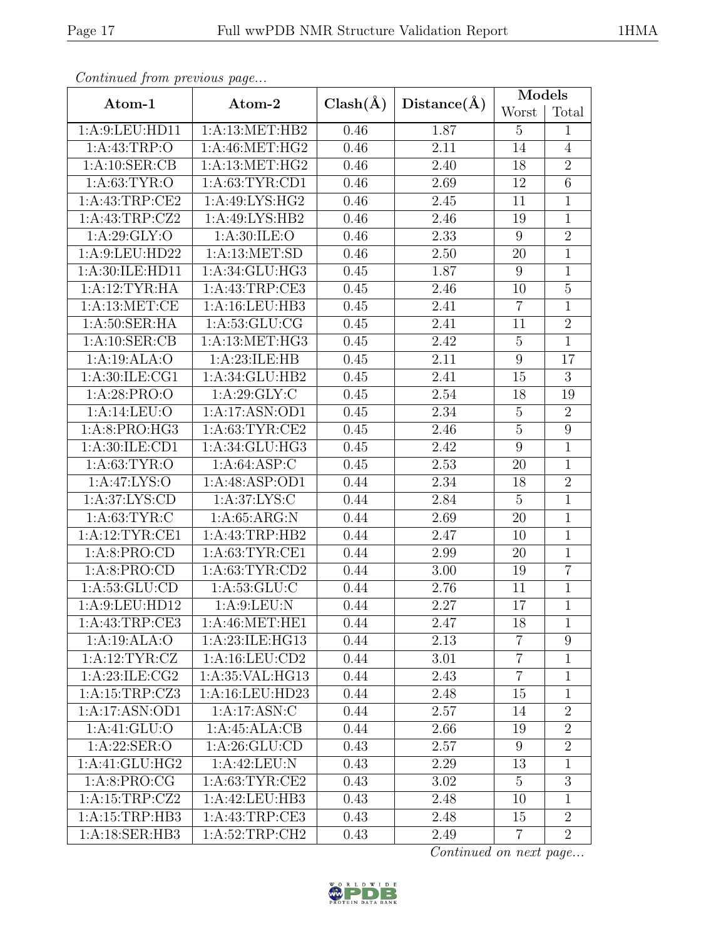| Continued from previous page      |                    |              |             | $\text{Models}$  |                |  |
|-----------------------------------|--------------------|--------------|-------------|------------------|----------------|--|
| Atom-1                            | Atom-2             | $Clash(\AA)$ | Distance(A) | Worst            | Total          |  |
| 1:A:9:LEU:HD11                    | 1: A:13:MET:HB2    | 0.46         | 1.87        | 5                | $\mathbf{1}$   |  |
| 1: A: 43: TRP:O<br>1:A:46:MET:HG2 |                    | 0.46         | 2.11        | 14               | $\overline{4}$ |  |
| 1: A: 10: SER: CB                 | 1: A:13:MET:HG2    | 0.46         | 2.40        | 18               | $\sqrt{2}$     |  |
| 1: A:63:TYR:O                     | 1: A:63: TYR:CD1   | 0.46         | 2.69        | 12               | 6              |  |
| 1: A: 43: TRP: CE2                | 1:A:49:LYS:HG2     | 0.46         | 2.45        | 11               | $\mathbf{1}$   |  |
| 1:A:43:TRP:CZ2                    | 1:A:49:LYS:HB2     | 0.46         | 2.46        | 19               | $\mathbf{1}$   |  |
| 1: A:29: GLY:O                    | 1: A:30: ILE: O    | 0.46         | 2.33        | $9\phantom{.0}$  | $\overline{2}$ |  |
| 1:A:9:LEU:HD22                    | 1:A:13:MET:SD      | 0.46         | 2.50        | 20               | $\mathbf{1}$   |  |
| 1:A:30:ILE:HD11                   | 1: A:34: GLU:HG3   | 0.45         | 1.87        | 9                | $\mathbf{1}$   |  |
| 1:A:12:TYR:HA                     | 1:A:43:TRP:CE3     | 0.45         | 2.46        | 10               | $\mathbf 5$    |  |
| 1: A:13: MET:CE                   | 1:A:16:LEU:HB3     | 0.45         | 2.41        | $\overline{7}$   | $\overline{1}$ |  |
| 1: A:50: SER: HA                  | 1: A:53: GLU:CG    | 0.45         | 2.41        | 11               | $\sqrt{2}$     |  |
| 1: A:10: SER:CB                   | 1: A: 13: MET: HG3 | 0.45         | 2.42        | $\mathbf 5$      | $\mathbf{1}$   |  |
| 1:A:19:ALA:O                      | 1: A:23: ILE: HB   | 0.45         | 2.11        | 9                | 17             |  |
| 1: A:30: ILE: CG1                 | 1:A:34:GLU:HB2     | 0.45         | 2.41        | 15               | $\overline{3}$ |  |
| 1: A:28: PRO:O<br>1:A:29:GLY:C    |                    | 0.45         | 2.54        | 18               | 19             |  |
| 1:A:14:LEU:O<br>1:A:17:ASN:OD1    |                    | 0.45         | 2.34        | $\bf 5$          | $\overline{2}$ |  |
| 1:A:8:PRO:HG3<br>1: A:63:TYR:CE2  |                    | 0.45         | 2.46        | $\overline{5}$   | $\overline{9}$ |  |
| 1:A:30:ILE:CD1<br>1:A:34:GLU:HG3  |                    | 0.45         | 2.42        | $\boldsymbol{9}$ | $\mathbf{1}$   |  |
| 1: A:63:TYR:O<br>1: A:64: ASP:C   |                    | 0.45         | 2.53        | 20               | $\mathbf{1}$   |  |
| 1:A:47:LYS:O<br>1:A:48:ASP:OD1    |                    | 0.44         | 2.34        | 18               | $\overline{2}$ |  |
| 1: A:37: LYS: CD                  | 1: A:37: LYS:C     | 0.44         | 2.84        | $\overline{5}$   | $\mathbf{1}$   |  |
| 1: A:63: TYR: C                   | 1: A:65: ARG:N     | 0.44         | 2.69        | 20               | $\mathbf{1}$   |  |
| 1: A:12:TYR:CE1                   | 1:A:43:TRP:HB2     | 0.44         | 2.47        | 10               | $\mathbf{1}$   |  |
| 1:A:8:PRO:CD<br>1: A:63:TYR:CE1   |                    | 0.44         | 2.99        | 20               | $\mathbf{1}$   |  |
| 1:A:8:PRO:CD<br>1: A:63:TYR:CD2   |                    | 0.44         | 3.00        | 19               | $\overline{7}$ |  |
| 1: A: 53: GLU: CD                 | 1: A:53: GLU: C    | 0.44         | 2.76        | 11               | $\mathbf{1}$   |  |
| 1:A:9:LEU:HD12                    | 1: A:9:LEU: N      | 0.44         | 2.27        | 17               | $\overline{1}$ |  |
| 1: A: 43: TRP: CE3                | 1:A:46:MET:HE1     | 0.44         | 2.47        | 18               | $\mathbf{1}$   |  |
| 1:A:19:ALA:O                      | 1:A:23:ILE:HG13    | 0.44         | 2.13        | $\overline{7}$   | 9              |  |
| 1:A:12:TYR:CZ                     | 1:A:16:LEU:CD2     | 0.44         | 3.01        | $\,7$            | $\mathbf{1}$   |  |
| 1: A:23: ILE: CG2                 | 1:A:35:VAL:HG13    | 0.44         | 2.43        | $\overline{7}$   | $\mathbf{1}$   |  |
| 1:A:15:TRP:CZ3                    | 1:A:16:LEU:HD23    | 0.44         | 2.48        | 15               | $\mathbf{1}$   |  |
| 1:A:17:ASN:OD1                    | 1:A:17:ASN:C       | 0.44         | 2.57        | 14               | $\overline{2}$ |  |
| 1: A:41: GLU:O                    | 1:A:45:ALA:CB      | 0.44         | 2.66        | 19               | $\overline{2}$ |  |
| 1:A:22:SER:O                      | 1: A:26: GLU:CD    | 0.43         | 2.57        | $9\phantom{.0}$  | $\overline{2}$ |  |
| 1:A:41:GLU:HG2                    | 1:A:42:LEU:N       | 0.43         | 2.29        | 13               | $\mathbf{1}$   |  |
| 1:A:8:PRO:CG                      | 1: A:63:TYR:CE2    | 0.43         | 3.02        | $\overline{5}$   | $\overline{3}$ |  |
| 1:A:15:TRP:CZ2                    | 1:A:42:LEU:HB3     | 0.43         | 2.48        | 10               | $\mathbf{1}$   |  |
| 1:A:15:TRP:HB3                    | 1: A: 43: TRP: CE3 | 0.43         | 2.48        | 15               | $\overline{2}$ |  |
| 1:A:18:SER:HB3                    | 1: A:52:TRP:CH2    | 0.43         | 2.49        | $\overline{7}$   | $\overline{2}$ |  |

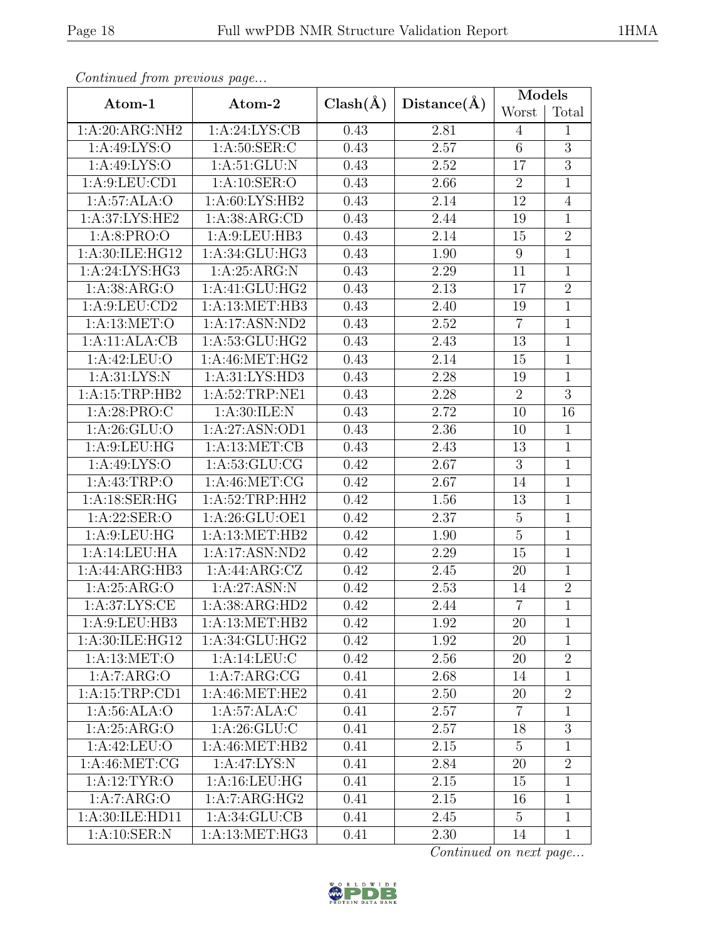| Contentaca from precious page     |                   |              | Distance(A) | Models          |                |
|-----------------------------------|-------------------|--------------|-------------|-----------------|----------------|
| Atom-1                            | Atom-2            | $Clash(\AA)$ |             | Worst           | Total          |
| 1:A:20:ARG:NH2                    | 1: A:24: LYS: CB  | 0.43         | 2.81        | 4               | $\mathbf{1}$   |
| 1: A:49: LYS:O                    | 1: A:50: SER: C   |              | 2.57        | 6               | $\overline{3}$ |
| 1: A:49: LYS:O                    | 1: A:51: GLU: N   | 0.43         | 2.52        | 17              | 3              |
| 1: A:9: LEU: CD1                  | 1: A:10: SER:O    | 0.43         | 2.66        | $\overline{2}$  | $\mathbf{1}$   |
| 1:A:57:ALA:O                      | 1: A:60: LYS: HB2 | 0.43         | 2.14        | 12              | $\overline{4}$ |
| 1:A:37:LYS:HE2                    | 1: A: 38: ARG: CD | 0.43         | 2.44        | 19              | $\mathbf{1}$   |
| 1: A:8: PRO:O                     | 1: A:9: LEU: HB3  | 0.43         | 2.14        | 15              | $\overline{2}$ |
| 1:A:30:ILE:HG12                   | 1: A:34: GLU:HG3  | 0.43         | 1.90        | 9               | $\mathbf{1}$   |
| 1: A:24: LYS: HG3                 | 1:A:25:ARG:N      | 0.43         | 2.29        | 11              | $\mathbf{1}$   |
| 1: A: 38: ARG: O                  | 1:A:41:GLU:HG2    | 0.43         | 2.13        | 17              | $\overline{2}$ |
| 1: A:9: LEU: CD2                  | 1:A:13:MET:HB3    | 0.43         | 2.40        | 19              | $\overline{1}$ |
| 1: A:13: MET:O                    | 1:A:17:ASN:ND2    | 0.43         | 2.52        | $\overline{7}$  | $\mathbf{1}$   |
| 1:A:11:ALA:CB                     | 1:A:53:GLU:HG2    | 0.43         | 2.43        | 13              | $\mathbf{1}$   |
| 1:A:42:LEU:O                      | 1: A:46:MET:HG2   | 0.43         | 2.14        | 15              | $\mathbf{1}$   |
| 1: A:31: LYS: N                   | 1:A:31:LYS:HD3    | 0.43         | 2.28        | 19              | $\mathbf{1}$   |
| 1: A:15:TRP:HB2<br>1:A:52:TRP:NE1 |                   | 0.43         | 2.28        | $\overline{2}$  | $\overline{3}$ |
| 1:A:28:PRO:C<br>1: A:30: ILE:N    |                   | 0.43         | 2.72        | 10              | 16             |
| 1: A:26: GLU:O<br>1:A:27:ASN:OD1  |                   | 0.43         | 2.36        | 10              | $\mathbf{1}$   |
| 1: A:9: LEU: HG<br>1:A:13:MET:CB  |                   | 0.43         | 2.43        | 13              | $\mathbf{1}$   |
| 1: A:49: LYS:O<br>1: A:53: GLU:CG |                   | 0.42         | 2.67        | 3               | $\mathbf{1}$   |
| 1: A: 43: TRP:O<br>1: A:46:MET:CG |                   | 0.42         | 2.67        | 14              | $\mathbf{1}$   |
| 1:A:18:SER:HG                     | 1: A:52:TRP:HH2   | 0.42         | 1.56        | 13              | $\mathbf{1}$   |
| 1:A:22:SER:O                      | 1:A:26:GLU:OE1    | 0.42         | 2.37        | $\overline{5}$  | $\mathbf{1}$   |
| 1: A:9: LEU: HG                   | 1: A:13:MET:HB2   | 0.42         | 1.90        | $\overline{5}$  | $\mathbf{1}$   |
| 1:A:14:LEU:HA<br>1:A:17:ASN:ND2   |                   | 0.42         | 2.29        | 15              | $1\,$          |
| 1:A:44:ARG:HB3                    | 1:A:44:ARG:CZ     |              | 2.45        | 20              | $\overline{1}$ |
| 1: A:25: ARG:O                    | 1:A:27:ASN:N      | 0.42         | 2.53        | 14              | $\sqrt{2}$     |
| 1: A:37: LYS: CE                  | 1:A:38:ARG:HD2    | 0.42         | 2.44        | $\overline{7}$  | $\overline{1}$ |
| 1: A:9: LEU: HB3                  | 1: A:13: MET:HB2  | 0.42         | 1.92        | 20              | $\mathbf{1}$   |
| 1:A:30:ILE:HG12                   | 1:A:34:GLU:HG2    | 0.42         | 1.92        | 20              | $\mathbf{1}$   |
| 1: A:13: MET:O                    | 1: A:14:LEU:C     | 0.42         | 2.56        | 20              | $\overline{2}$ |
| 1:A:7:ARG:O                       | 1:A:7:ARG:CG      | 0.41         | 2.68        | 14              | $\mathbf{1}$   |
| 1:A:15:TRP:CD1                    | 1: A:46:MET:HE2   | 0.41         | 2.50        | 20              | $\overline{2}$ |
| 1:A:56:ALA:O                      | 1:A:57:ALA:C      | 0.41         | 2.57        | $\overline{7}$  | $\mathbf{1}$   |
| 1: A:25: ARG:O                    | $1:$ A:26:GLU:C   | 0.41         | 2.57        | 18              | $\overline{3}$ |
| 1:A:42:LEU:O                      | 1: A:46:MET:HB2   | 0.41         | 2.15        | $\overline{5}$  | $\mathbf{1}$   |
| 1: A:46:MET:CG                    | 1:A:47:LYS:N      | 0.41         | 2.84        | 20              | $\overline{2}$ |
| $1:A:12:\overline{TYR:O}$         | 1:A:16:LEU:HG     | 0.41         | 2.15        | 15              | $\mathbf{1}$   |
| 1:A:7:ARG:O                       | 1:A:7:ARG:HG2     | 0.41         | 2.15        | 16              | $\mathbf{1}$   |
| 1:A:30:ILE:HD11                   | 1: A:34: GLU:CB   | 0.41         | 2.45        | $5\overline{)}$ | $\mathbf{1}$   |
| 1: A:10: SER: N                   | 1:A:13:MET:HG3    | 0.41         | 2.30        | 14              | $\mathbf{1}$   |

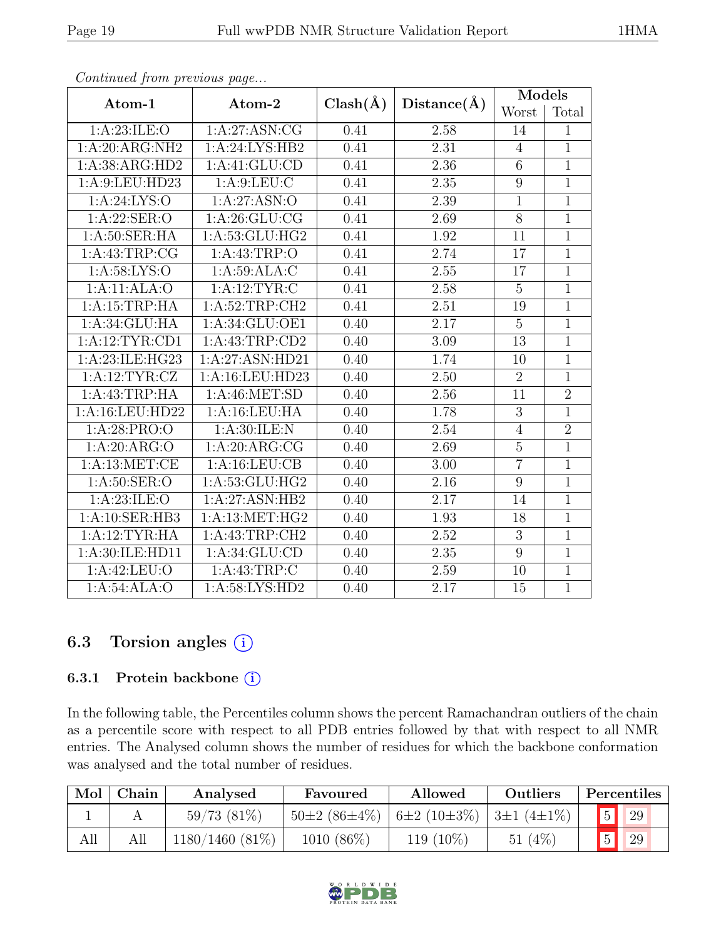| Atom-1                           | Atom-2             | $Clash(\AA)$ |                   | Models           |                |
|----------------------------------|--------------------|--------------|-------------------|------------------|----------------|
|                                  |                    |              | Distance(A)       | Worst            | Total          |
| 1: A:23: ILE: O<br>1:A:27:ASN:CG |                    | 0.41         | 2.58              | 14               | $\mathbf{1}$   |
| 1:A:20:ARG:NH2                   | 1:A:24:LYS:HB2     | 0.41         | 2.31              | $\overline{4}$   | $\overline{1}$ |
| 1:A:38:ARG:HD2                   | 1:A:41:GLU:CD      | 0.41         | 2.36              | $\,6\,$          | $\mathbf{1}$   |
| 1:A:9:LEU:HD23                   | 1: A:9: LEU: C     | 0.41         | 2.35              | $\boldsymbol{9}$ | $\overline{1}$ |
| 1: A:24: LYS:O                   | 1:A:27:ASN:O       | 0.41         | 2.39              | $\mathbf{1}$     | $\mathbf{1}$   |
| 1: A:22: SER:O                   | 1: A:26: GLU:CG    | 0.41         | 2.69              | $\overline{8}$   | $\overline{1}$ |
| 1: A:50: SER: HA                 | 1:A:53:GLU:HG2     | 0.41         | 1.92              | 11               | $\mathbf{1}$   |
| 1:A:43:TRP:CG                    | 1: A: 43: TRP:O    | 0.41         | 2.74              | 17               | $\overline{1}$ |
| 1: A:58: LYS:O                   | 1:A:59:ALA:C       | 0.41         | 2.55              | 17               | $\overline{1}$ |
| 1:A:11:ALA:O<br>1: A:12: TYR: C  |                    | 0.41         | 2.58              | $\overline{5}$   | $\mathbf{1}$   |
| 1: A:52:TRP:CH2<br>1:A:15:TRP:HA |                    | 0.41         | 2.51              | 19               | $\overline{1}$ |
| 1: A:34: GLU:HA                  | 1:A:34:GLU:OE1     | 0.40         | 2.17              | $\mathbf 5$      | $\overline{1}$ |
| 1: A:12: TYR: CD1                | 1:A:43:TRP:CD2     | 0.40         | 3.09              | 13               | $\overline{1}$ |
| 1:A:23:ILE:HG23                  | 1:A:27:ASN:HD21    | 0.40         | 1.74              | 10               | $\mathbf{1}$   |
| 1:A:12:TYR:CZ                    | 1:A:16:LEU:HD23    | 0.40         | 2.50              | $\overline{2}$   | $\overline{1}$ |
| 1:A:43:TRP:HA                    | 1: A:46: MET:SD    | 0.40         | 2.56              | 11               | $\overline{2}$ |
| 1:A:16:LEU:HD22<br>1:A:16:LEU:HA |                    | 0.40         | 1.78              | $\sqrt{3}$       | $\mathbf{1}$   |
| 1:A:28:PRO:O                     | 1: A:30: ILE:N     | 0.40         | $\overline{2.54}$ | $\overline{4}$   | $\overline{2}$ |
| 1:A:20:ARG:O                     | 1: A:20: ARG:CG    | 0.40         | 2.69              | $\bf 5$          | $\mathbf{1}$   |
| 1: A:13: MET:CE                  | 1: A: 16: LEU: CB  | 0.40         | 3.00              | $\overline{7}$   | $\overline{1}$ |
| 1: A:50: SER:O                   | 1:A:53:GLU:HG2     | 0.40         | 2.16              | 9                | $\mathbf{1}$   |
| 1: A:23: ILE: O                  | 1:A:27:ASN:HB2     | 0.40         | 2.17              | 14               | $\mathbf{1}$   |
| 1:A:10:SER:HB3                   | 1: A: 13: MET: HG2 | 0.40         | 1.93              | 18               | $\overline{1}$ |
| 1:A:12:TYR:HA                    | 1:A:43:TRP:CH2     | 0.40         | 2.52              | 3                | $\mathbf{1}$   |
| 1:A:30:ILE:HD11                  | 1: A:34: GLU:CD    | 0.40         | 2.35              | $\overline{9}$   | $\overline{1}$ |
| 1:A:42:LEU:O                     | 1: A: 43: TRP:C    | 0.40         | 2.59              | 10               | $\overline{1}$ |
| 1:A:54:ALA:O                     | 1: A:58: LYS: HD2  | 0.40         | 2.17              | 15               | $\mathbf{1}$   |

## 6.3 Torsion angles (i)

### 6.3.1 Protein backbone ①

In the following table, the Percentiles column shows the percent Ramachandran outliers of the chain as a percentile score with respect to all PDB entries followed by that with respect to all NMR entries. The Analysed column shows the number of residues for which the backbone conformation was analysed and the total number of residues.

| Mol | Chain | Analysed          | Favoured                                                    | Allowed   | Outliers  | <b>Percentiles</b> |    |
|-----|-------|-------------------|-------------------------------------------------------------|-----------|-----------|--------------------|----|
|     |       | $59/73(81\%)$     | $50\pm2(86\pm4\%)$   6 $\pm2(10\pm3\%)$   3 $\pm1(4\pm1\%)$ |           |           |                    | 29 |
| All | All   | $1180/1460(81\%)$ | $1010(86\%)$                                                | 119 (10%) | (4%<br>51 | <sup>5</sup>       | 29 |

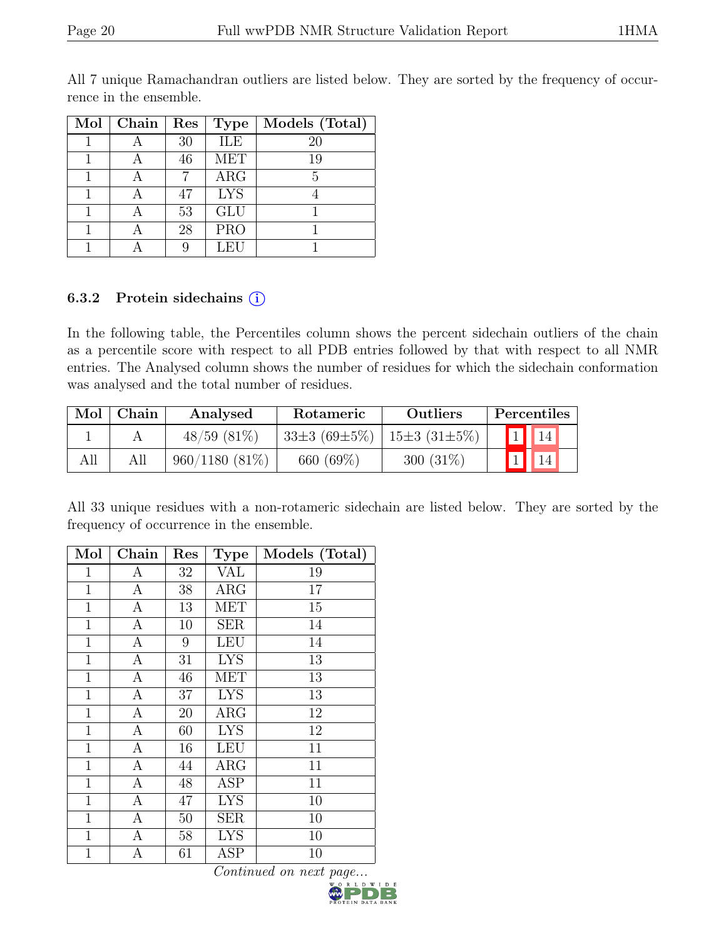| $\overline{\text{Mol}}$ | Chain | Res | <b>Type</b>             | Models (Total) |
|-------------------------|-------|-----|-------------------------|----------------|
|                         |       | 30  | <b>ILE</b>              | 20             |
|                         |       | 46  | $\overline{\text{MET}}$ | 19             |
|                         |       |     | ARG                     |                |
|                         |       | 47  | <b>LYS</b>              |                |
|                         |       | 53  | <b>GLU</b>              |                |
|                         |       | 28  | <b>PRO</b>              |                |
|                         |       |     | LEU                     |                |

All 7 unique Ramachandran outliers are listed below. They are sorted by the frequency of occurrence in the ensemble.

#### 6.3.2 Protein sidechains (i)

In the following table, the Percentiles column shows the percent sidechain outliers of the chain as a percentile score with respect to all PDB entries followed by that with respect to all NMR entries. The Analysed column shows the number of residues for which the sidechain conformation was analysed and the total number of residues.

| Mol | Chain | Analysed         | Rotameric                               | Outliers    | Percentiles |
|-----|-------|------------------|-----------------------------------------|-------------|-------------|
|     |       | $48/59$ $(81\%)$ | $33\pm3(69\pm5\%)$   $15\pm3(31\pm5\%)$ |             |             |
|     | All   | $960/1180(81\%)$ | 660 (69%)                               | $300(31\%)$ |             |

All 33 unique residues with a non-rotameric sidechain are listed below. They are sorted by the frequency of occurrence in the ensemble.

| Mol          | Chain            | $\operatorname{Res}% \left( \mathcal{N}\right) \equiv\operatorname{Res}(\mathcal{N}_{0})\cap\mathcal{N}_{1}$ | <b>Type</b> | Models (Total) |
|--------------|------------------|--------------------------------------------------------------------------------------------------------------|-------------|----------------|
| $\mathbf 1$  | А                | 32                                                                                                           | VAL         | 19             |
| $\mathbf{1}$ | $\boldsymbol{A}$ | 38                                                                                                           | $\rm{ARG}$  | 17             |
| $\mathbf{1}$ | $\mathbf{A}$     | 13                                                                                                           | <b>MET</b>  | 15             |
| $\mathbf{1}$ | $\mathbf{A}$     | 10                                                                                                           | SER         | 14             |
| $\mathbf{1}$ | $\mathbf{A}$     | 9                                                                                                            | <b>LEU</b>  | 14             |
| $\mathbf 1$  | А                | 31                                                                                                           | <b>LYS</b>  | 13             |
| $\mathbf 1$  | А                | 46                                                                                                           | MET         | 13             |
| $\mathbf{1}$ | $\boldsymbol{A}$ | 37                                                                                                           | <b>LYS</b>  | 13             |
| $\mathbf{1}$ | $\boldsymbol{A}$ | 20                                                                                                           | $\rm{ARG}$  | 12             |
| $\mathbf{1}$ | $\boldsymbol{A}$ | 60                                                                                                           | <b>LYS</b>  | $12\,$         |
| $\mathbf{1}$ | $\boldsymbol{A}$ | 16                                                                                                           | <b>LEU</b>  | 11             |
| $\mathbf{1}$ | $\boldsymbol{A}$ | 44                                                                                                           | $\rm{ARG}$  | 11             |
| 1            | $\boldsymbol{A}$ | 48                                                                                                           | ASP         | 11             |
| $\mathbf{1}$ | А                | 47                                                                                                           | <b>LYS</b>  | 10             |
| $\mathbf{1}$ | $\mathbf{A}$     | $50\,$                                                                                                       | <b>SER</b>  | 10             |
| $\mathbf{1}$ | $\mathbf{A}$     | $58\,$                                                                                                       | <b>LYS</b>  | 10             |
| $\mathbf{1}$ | А                | 61                                                                                                           | ASP         | 10             |

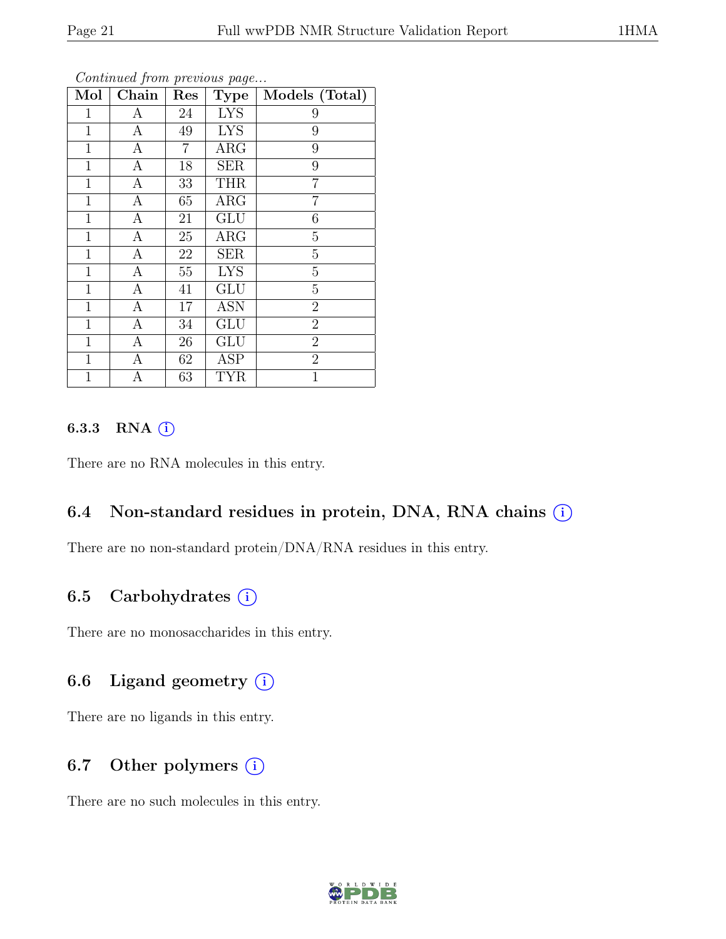| Mol          | Chain            | x.<br>Res      | $\cdot$<br><b>Type</b> | Models (Total)   |
|--------------|------------------|----------------|------------------------|------------------|
| $\mathbf{1}$ | А                | 24             | <b>LYS</b>             | 9                |
| $\mathbf 1$  | $\mathbf{A}$     | 49             | <b>LYS</b>             | 9                |
| $\mathbf{1}$ | A                | $\overline{7}$ | ARG                    | 9                |
| $\mathbf{1}$ | $\boldsymbol{A}$ | 18             | <b>SER</b>             | 9                |
| $\mathbf 1$  | А                | 33             | <b>THR</b>             | 7                |
| $\mathbf 1$  | $\boldsymbol{A}$ | 65             | $\rm{ARG}$             | 7                |
| $\mathbf{1}$ | $\mathbf{A}$     | 21             | <b>GLU</b>             | $\boldsymbol{6}$ |
| $\mathbf{1}$ | $\mathbf{A}$     | 25             | $\rm{ARG}$             | $\overline{5}$   |
| $\mathbf{1}$ | $\boldsymbol{A}$ | 22             | <b>SER</b>             | $\overline{5}$   |
| $\mathbf 1$  | $\overline{A}$   | 55             | <b>LYS</b>             | $\overline{5}$   |
| $\mathbf{1}$ | A                | 41             | <b>GLU</b>             | $\overline{5}$   |
| $\mathbf{1}$ | $\boldsymbol{A}$ | 17             | <b>ASN</b>             | $\overline{2}$   |
| $\mathbf{1}$ | $\mathbf{A}$     | 34             | <b>GLU</b>             | $\overline{2}$   |
| $\mathbf{1}$ | $\mathbf{A}$     | $26\,$         | <b>GLU</b>             | $\overline{2}$   |
| $\mathbf{1}$ | А                | 62             | ASP                    | $\overline{2}$   |
| 1            | Α                | 63             | <b>TYR</b>             | 1                |

Continued from previous page...

### 6.3.3 RNA  $(i)$

There are no RNA molecules in this entry.

### 6.4 Non-standard residues in protein, DNA, RNA chains  $(i)$

There are no non-standard protein/DNA/RNA residues in this entry.

### 6.5 Carbohydrates  $(i)$

There are no monosaccharides in this entry.

### 6.6 Ligand geometry  $(i)$

There are no ligands in this entry.

### 6.7 Other polymers  $(i)$

There are no such molecules in this entry.

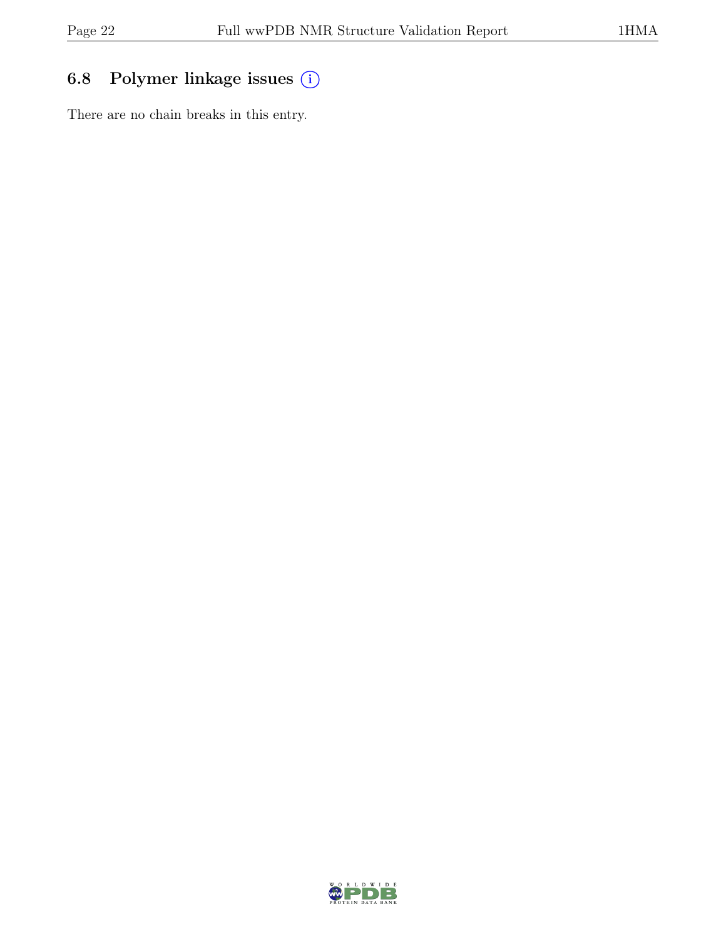# 6.8 Polymer linkage issues (i)

There are no chain breaks in this entry.